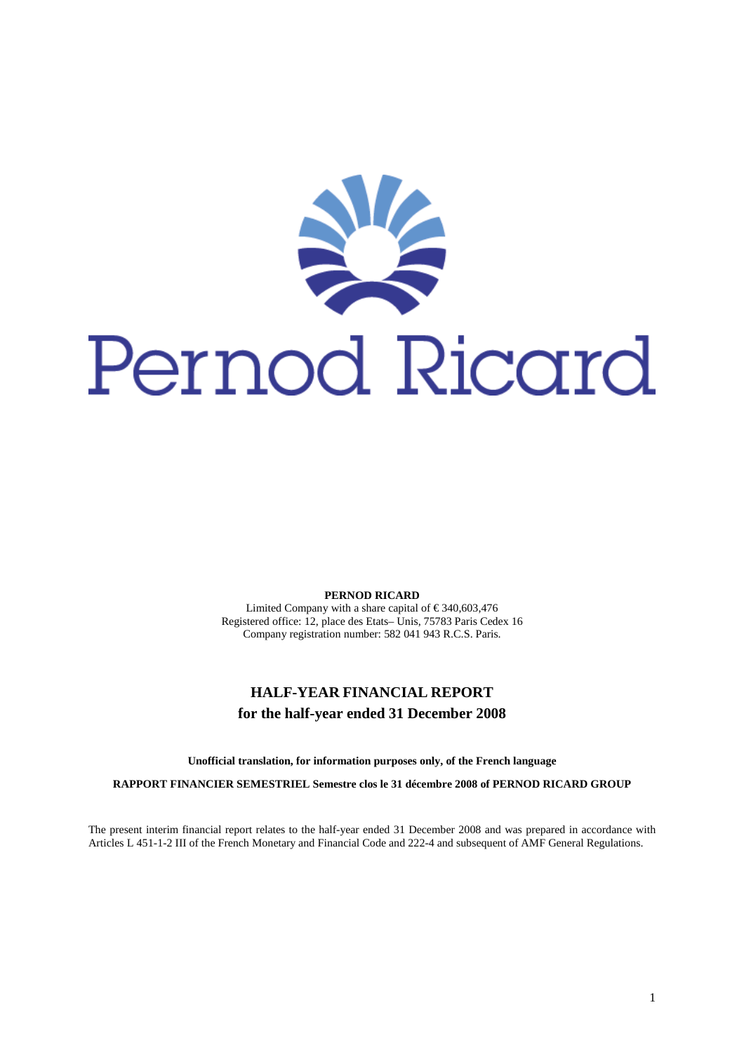

**PERNOD RICARD** 

Limited Company with a share capital of  $\in$  340,603,476 Registered office: 12, place des Etats– Unis, 75783 Paris Cedex 16 Company registration number: 582 041 943 R.C.S. Paris.

# **HALF-YEAR FINANCIAL REPORT for the half-year ended 31 December 2008**

**Unofficial translation, for information purposes only, of the French language** 

**RAPPORT FINANCIER SEMESTRIEL Semestre clos le 31 décembre 2008 of PERNOD RICARD GROUP** 

The present interim financial report relates to the half-year ended 31 December 2008 and was prepared in accordance with Articles L 451-1-2 III of the French Monetary and Financial Code and 222-4 and subsequent of AMF General Regulations.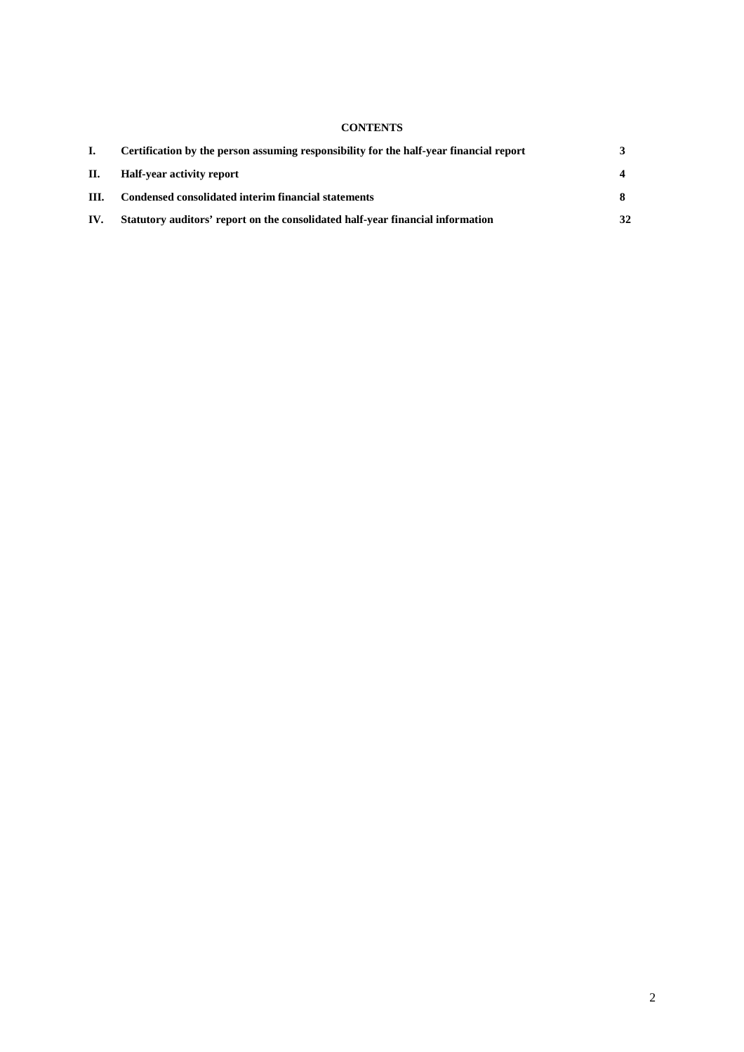# **CONTENTS**

|      | Certification by the person assuming responsibility for the half-year financial report |    |
|------|----------------------------------------------------------------------------------------|----|
| П.   | Half-year activity report                                                              |    |
| III. | Condensed consolidated interim financial statements                                    |    |
| IV.  | Statutory auditors' report on the consolidated half-year financial information         | 32 |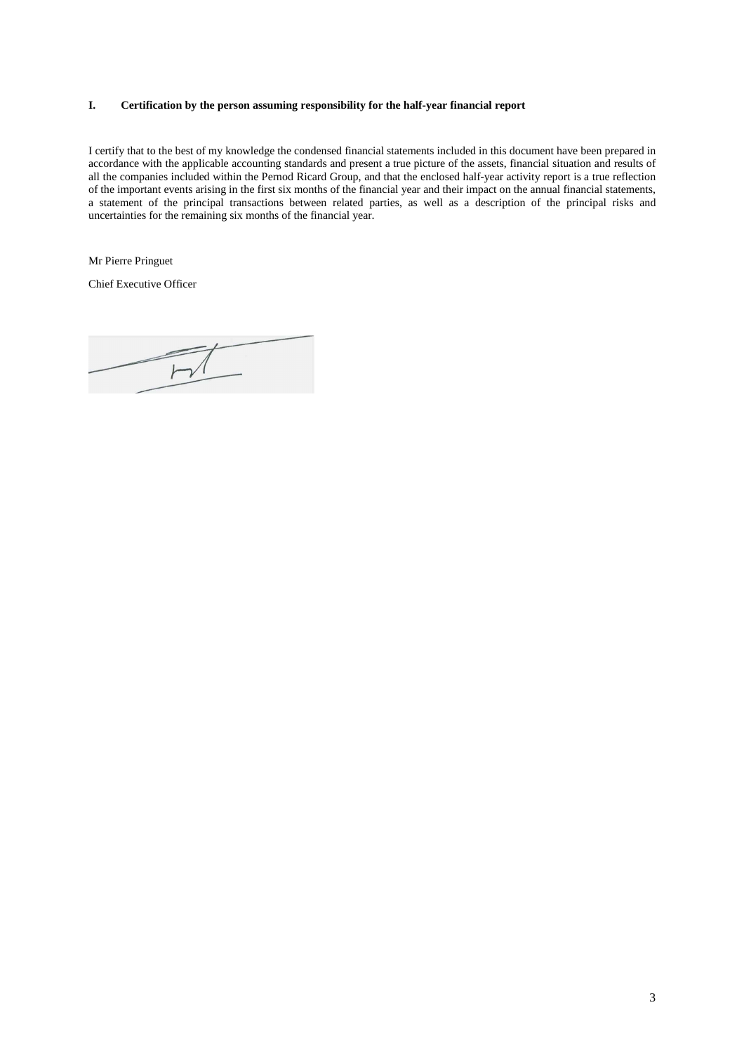# **I. Certification by the person assuming responsibility for the half-year financial report**

I certify that to the best of my knowledge the condensed financial statements included in this document have been prepared in accordance with the applicable accounting standards and present a true picture of the assets, financial situation and results of all the companies included within the Pernod Ricard Group, and that the enclosed half-year activity report is a true reflection of the important events arising in the first six months of the financial year and their impact on the annual financial statements, a statement of the principal transactions between related parties, as well as a description of the principal risks and uncertainties for the remaining six months of the financial year.

Mr Pierre Pringuet

Chief Executive Officer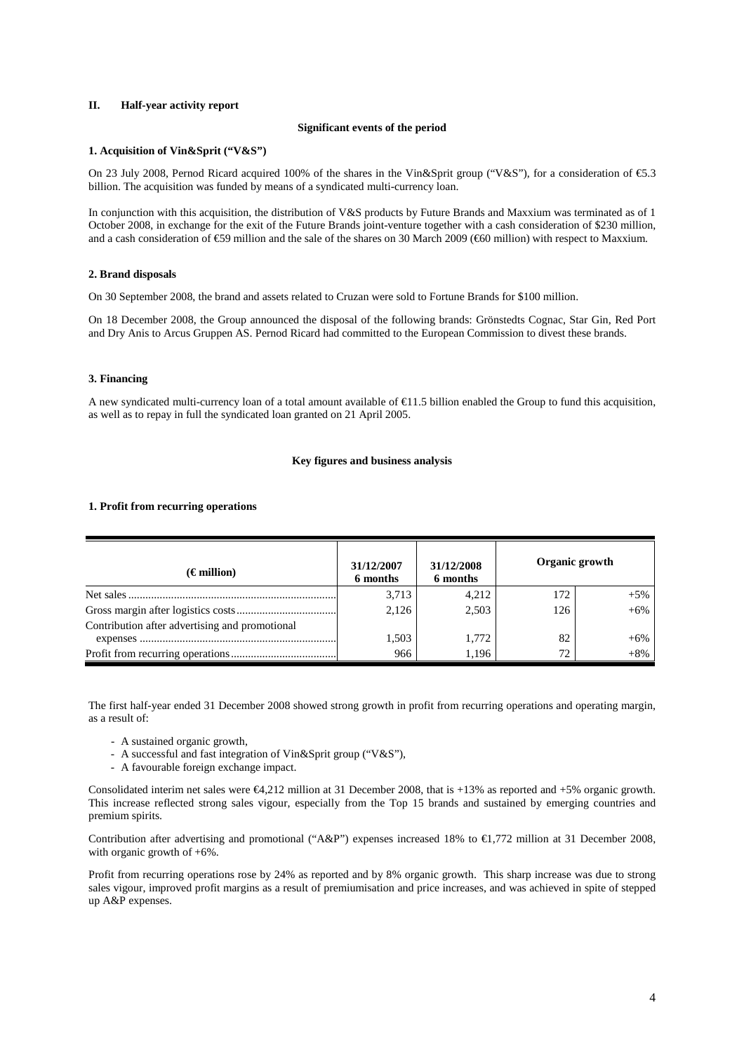## **II. Half-year activity report**

#### **Significant events of the period**

#### **1. Acquisition of Vin&Sprit ("V&S")**

On 23 July 2008, Pernod Ricard acquired 100% of the shares in the Vin&Sprit group ("V&S"), for a consideration of €5.3 billion. The acquisition was funded by means of a syndicated multi-currency loan.

In conjunction with this acquisition, the distribution of V&S products by Future Brands and Maxxium was terminated as of 1 October 2008, in exchange for the exit of the Future Brands joint-venture together with a cash consideration of \$230 million, and a cash consideration of €59 million and the sale of the shares on 30 March 2009 (€60 million) with respect to Maxxium.

#### **2. Brand disposals**

On 30 September 2008, the brand and assets related to Cruzan were sold to Fortune Brands for \$100 million.

On 18 December 2008, the Group announced the disposal of the following brands: Grönstedts Cognac, Star Gin, Red Port and Dry Anis to Arcus Gruppen AS. Pernod Ricard had committed to the European Commission to divest these brands.

# **3. Financing**

A new syndicated multi-currency loan of a total amount available of €11.5 billion enabled the Group to fund this acquisition, as well as to repay in full the syndicated loan granted on 21 April 2005.

### **Key figures and business analysis**

#### **1. Profit from recurring operations**

| $(\epsilon$ million)                           | 31/12/2007<br>6 months | 31/12/2008<br>6 months | Organic growth |       |
|------------------------------------------------|------------------------|------------------------|----------------|-------|
|                                                | 3,713                  | 4,212                  | 172            | $+5%$ |
|                                                | 2,126                  | 2.503                  | 126            | $+6%$ |
| Contribution after advertising and promotional |                        |                        |                |       |
|                                                | 1,503                  | 1.772                  | 82             | $+6%$ |
|                                                | 966                    | 1.196                  | 72             | $+8%$ |

The first half-year ended 31 December 2008 showed strong growth in profit from recurring operations and operating margin, as a result of:

- A sustained organic growth,
- A successful and fast integration of Vin&Sprit group ("V&S"),
- A favourable foreign exchange impact.

Consolidated interim net sales were  $\epsilon$ 4,212 million at 31 December 2008, that is +13% as reported and +5% organic growth. This increase reflected strong sales vigour, especially from the Top 15 brands and sustained by emerging countries and premium spirits.

Contribution after advertising and promotional ("A&P") expenses increased 18% to  $\epsilon$ 1,772 million at 31 December 2008, with organic growth of +6%.

Profit from recurring operations rose by 24% as reported and by 8% organic growth. This sharp increase was due to strong sales vigour, improved profit margins as a result of premiumisation and price increases, and was achieved in spite of stepped up A&P expenses.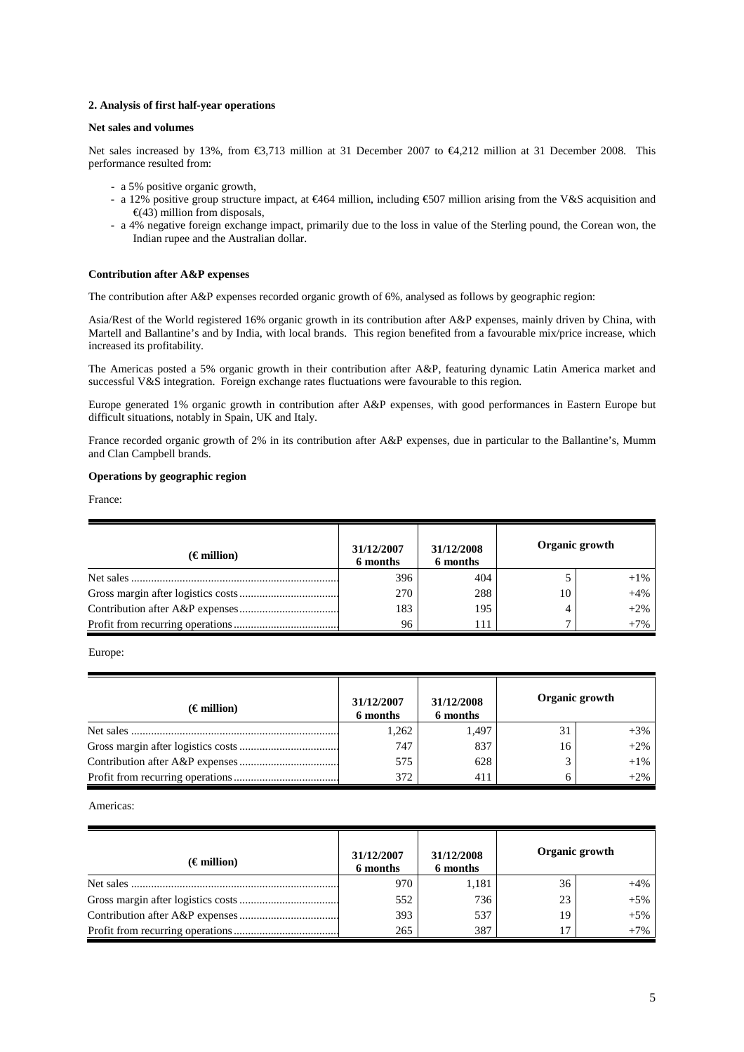### **2. Analysis of first half-year operations**

## **Net sales and volumes**

Net sales increased by 13%, from €3,713 million at 31 December 2007 to €4,212 million at 31 December 2008. This performance resulted from:

- a 5% positive organic growth,
- a 12% positive group structure impact, at €464 million, including €507 million arising from the V&S aquisition and  $\epsilon$ (43) million from disposals,
- a 4% negative foreign exchange impact, primarily due to the loss in value of the Sterling pound, the Corean won, the Indian rupee and the Australian dollar.

### **Contribution after A&P expenses**

The contribution after A&P expenses recorded organic growth of 6%, analysed as follows by geographic region:

Asia/Rest of the World registered 16% organic growth in its contribution after A&P expenses, mainly driven by China, with Martell and Ballantine's and by India, with local brands. This region benefited from a favourable mix/price increase, which increased its profitability.

The Americas posted a 5% organic growth in their contribution after A&P, featuring dynamic Latin America market and successful V&S integration. Foreign exchange rates fluctuations were favourable to this region.

Europe generated 1% organic growth in contribution after A&P expenses, with good performances in Eastern Europe but difficult situations, notably in Spain, UK and Italy.

France recorded organic growth of 2% in its contribution after A&P expenses, due in particular to the Ballantine's, Mumm and Clan Campbell brands.

# **Operations by geographic region**

France:

| $(\epsilon$ million) | 31/12/2007<br>6 months | 31/12/2008<br>6 months |    | Organic growth |
|----------------------|------------------------|------------------------|----|----------------|
|                      | 396                    | 404                    |    | $+1\%$         |
|                      | 270                    | 288                    | 10 | $+4%$          |
|                      | 183                    | 195                    |    | $+2%$          |
|                      | 96                     | 111                    |    | $+7%$          |

Europe:

| $(\epsilon$ million) | 31/12/2007<br>6 months | 31/12/2008<br>6 months | Organic growth |        |
|----------------------|------------------------|------------------------|----------------|--------|
|                      | 1,262                  | 1.497                  | 31             | $+3%$  |
|                      | 747                    | 837                    | 16             | $+2%$  |
|                      | 575                    | 628                    |                | $+1\%$ |
|                      | 372                    | 411                    |                | $+2%$  |

Americas:

| $(\epsilon$ million) | 31/12/2007<br>6 months | 31/12/2008<br>6 months | Organic growth |       |
|----------------------|------------------------|------------------------|----------------|-------|
|                      | 970                    | 1,181                  | 36             | $+4%$ |
|                      | 552                    | 736                    | 23             | $+5%$ |
|                      | 393                    | 537                    | 19             | $+5%$ |
|                      | 265                    | 387                    |                | $+7%$ |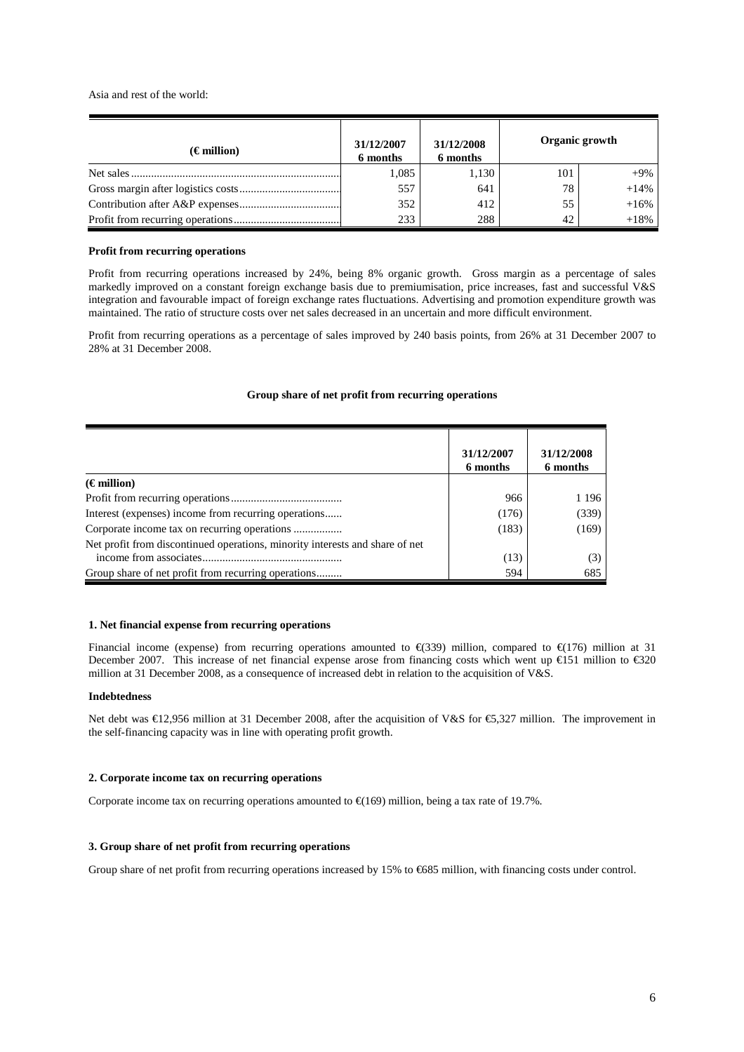Asia and rest of the world:

| $(\epsilon$ million) | 31/12/2007<br>6 months | 31/12/2008<br>6 months | Organic growth |        |
|----------------------|------------------------|------------------------|----------------|--------|
|                      | 1,085                  | 1,130                  | 101            | $+9\%$ |
|                      | 557                    | 641                    | 78             | $+14%$ |
|                      | 352                    | 412                    | 55             | $+16%$ |
|                      | 233                    | 288                    | 42             | $+18%$ |

#### **Profit from recurring operations**

Profit from recurring operations increased by 24%, being 8% organic growth. Gross margin as a percentage of sales markedly improved on a constant foreign exchange basis due to premiumisation, price increases, fast and successful V&S integration and favourable impact of foreign exchange rates fluctuations. Advertising and promotion expenditure growth was maintained. The ratio of structure costs over net sales decreased in an uncertain and more difficult environment.

Profit from recurring operations as a percentage of sales improved by 240 basis points, from 26% at 31 December 2007 to 28% at 31 December 2008.

### **Group share of net profit from recurring operations**

|                                                                              | 31/12/2007<br>6 months | 31/12/2008<br>6 months |
|------------------------------------------------------------------------------|------------------------|------------------------|
| $(\epsilon$ million)                                                         |                        |                        |
|                                                                              | 966                    | 1 1 9 6                |
| Interest (expenses) income from recurring operations                         | (176)                  | (339)                  |
| Corporate income tax on recurring operations                                 | (183)                  | (169)                  |
| Net profit from discontinued operations, minority interests and share of net | (13)                   | (3)                    |
| Group share of net profit from recurring operations                          | 594                    | 685                    |

### **1. Net financial expense from recurring operations**

Financial income (expense) from recurring operations amounted to  $\epsilon$ (339) million, compared to  $\epsilon$ (176) million at 31 December 2007. This increase of net financial expense arose from financing costs which went up €151 million to €320 million at 31 December 2008, as a consequence of increased debt in relation to the acquisition of V&S.

#### **Indebtedness**

Net debt was €12,956 million at 31 December 2008, after the acquisition of V&S for €5,327 million. The improvement in the self-financing capacity was in line with operating profit growth.

#### **2. Corporate income tax on recurring operations**

Corporate income tax on recurring operations amounted to  $\epsilon$ (169) million, being a tax rate of 19.7%.

# **3. Group share of net profit from recurring operations**

Group share of net profit from recurring operations increased by 15% to  $\epsilon$ 685 million, with financing costs under control.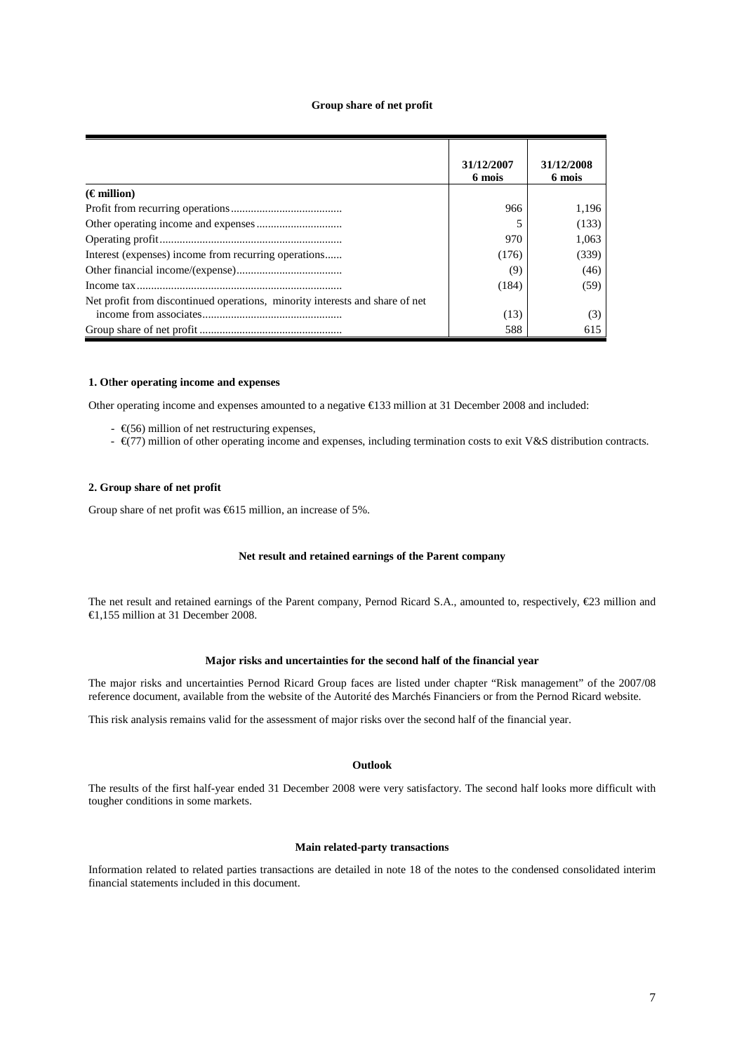#### **Group share of net profit**

|                                                                              | 31/12/2007<br>6 mois | 31/12/2008<br>6 mois |
|------------------------------------------------------------------------------|----------------------|----------------------|
| $(\epsilon$ million)                                                         |                      |                      |
|                                                                              | 966                  | 1.196                |
|                                                                              |                      | (133)                |
|                                                                              | 970                  | 1,063                |
| Interest (expenses) income from recurring operations                         | (176)                | (339)                |
|                                                                              | (9)                  | (46)                 |
|                                                                              | (184)                | (59)                 |
| Net profit from discontinued operations, minority interests and share of net |                      |                      |
|                                                                              | (13)                 | (3)                  |
|                                                                              | 588                  | 615                  |

## **1. O**t**her operating income and expenses**

Other operating income and expenses amounted to a negative €133 million at 31 December 2008 and included:

- $\epsilon \in (56)$  million of net restructuring expenses,
- $\epsilon$  (77) million of other operating income and expenses, including termination costs to exit V&S distribution contracts.

#### **2. Group share of net profit**

Group share of net profit was  $\epsilon$ 615 million, an increase of 5%.

#### **Net result and retained earnings of the Parent company**

The net result and retained earnings of the Parent company, Pernod Ricard S.A., amounted to, respectively, €23 million and €1,155 million at 31 December 2008.

#### **Major risks and uncertainties for the second half of the financial year**

The major risks and uncertainties Pernod Ricard Group faces are listed under chapter "Risk management" of the 2007/08 reference document, available from the website of the Autorité des Marchés Financiers or from the Pernod Ricard website.

This risk analysis remains valid for the assessment of major risks over the second half of the financial year.

# **Outlook**

The results of the first half-year ended 31 December 2008 were very satisfactory. The second half looks more difficult with tougher conditions in some markets.

### **Main related-party transactions**

Information related to related parties transactions are detailed in note 18 of the notes to the condensed consolidated interim financial statements included in this document.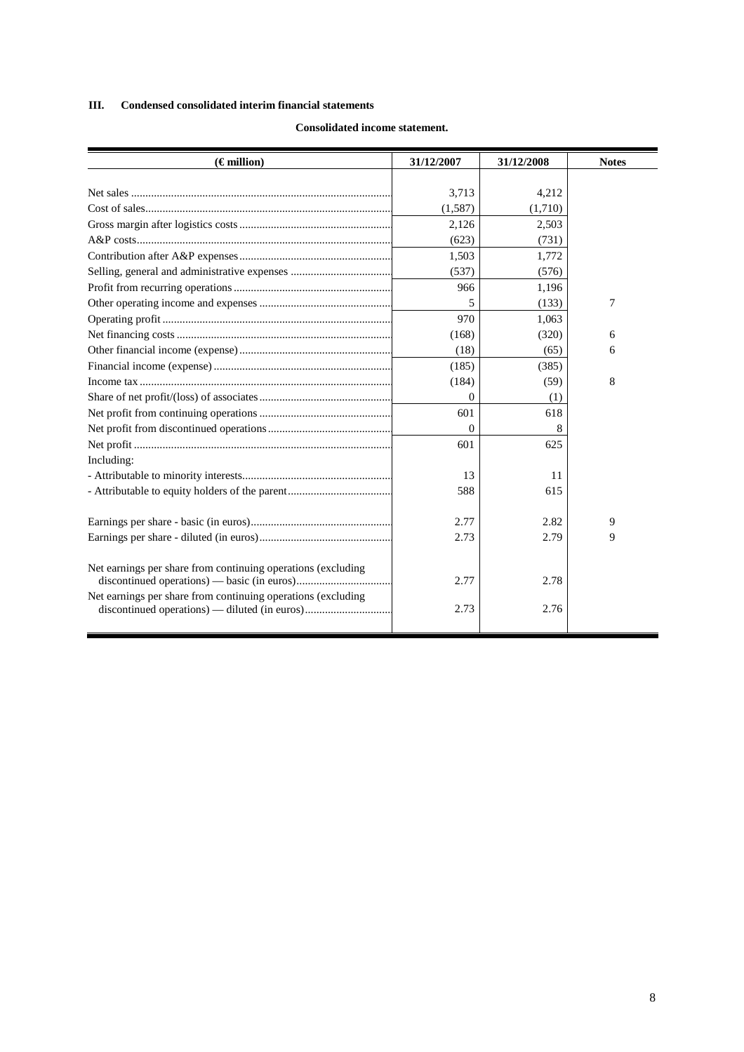# **III. Condensed consolidated interim financial statements**

| $(\epsilon$ million)                                         | 31/12/2007   | 31/12/2008 | <b>Notes</b> |
|--------------------------------------------------------------|--------------|------------|--------------|
|                                                              |              |            |              |
|                                                              | 3,713        | 4,212      |              |
|                                                              | (1,587)      | (1,710)    |              |
|                                                              | 2,126        | 2,503      |              |
|                                                              | (623)        | (731)      |              |
|                                                              | 1,503        | 1,772      |              |
|                                                              | (537)        | (576)      |              |
|                                                              | 966          | 1,196      |              |
|                                                              | 5            | (133)      | 7            |
|                                                              | 970          | 1,063      |              |
|                                                              | (168)        | (320)      | 6            |
|                                                              | (18)         | (65)       | 6            |
|                                                              | (185)        | (385)      |              |
|                                                              | (184)        | (59)       | 8            |
|                                                              | $\theta$     | (1)        |              |
|                                                              | 601          | 618        |              |
|                                                              | $\mathbf{0}$ |            |              |
|                                                              | 601          | 625        |              |
| Including:                                                   |              |            |              |
|                                                              | 13           | 11         |              |
|                                                              | 588          | 615        |              |
|                                                              |              |            |              |
|                                                              | 2.77         | 2.82       | 9            |
|                                                              | 2.73         | 2.79       | 9            |
|                                                              |              |            |              |
| Net earnings per share from continuing operations (excluding |              |            |              |
|                                                              | 2.77         | 2.78       |              |
| Net earnings per share from continuing operations (excluding |              |            |              |
| discontinued operations) — diluted (in euros)                | 2.73         | 2.76       |              |
|                                                              |              |            |              |

# **Consolidated income statement.**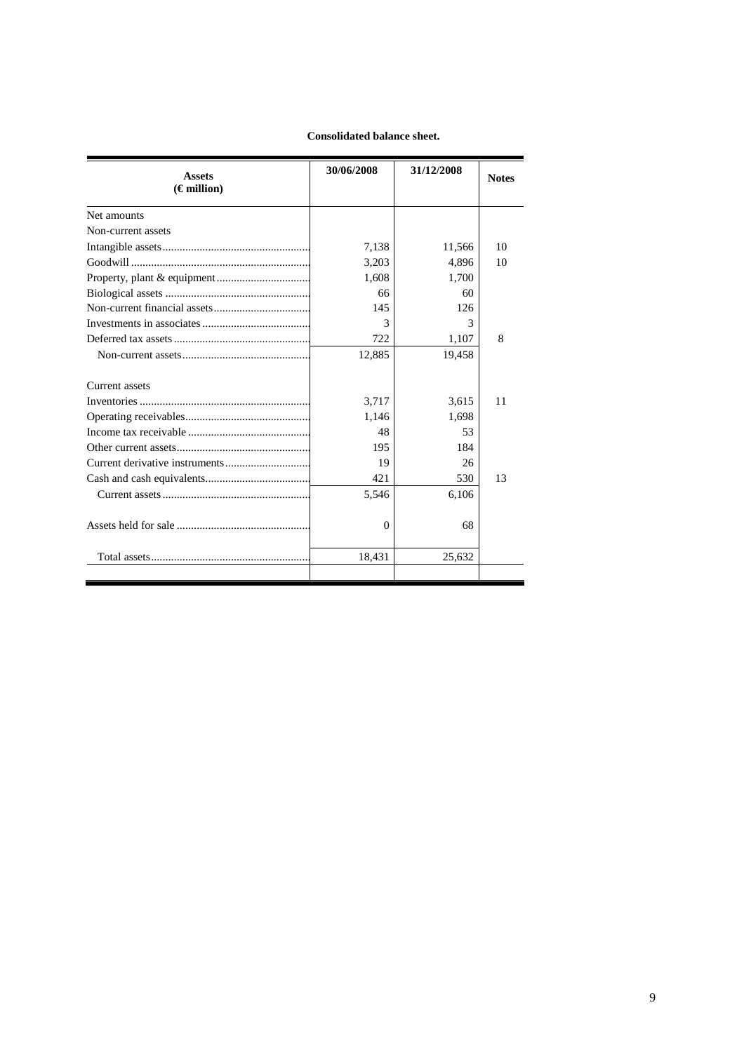# **Consolidated balance sheet.**

| <b>Assets</b>        | 30/06/2008 | 31/12/2008 | <b>Notes</b> |  |
|----------------------|------------|------------|--------------|--|
| $(\epsilon$ million) |            |            |              |  |
| Net amounts          |            |            |              |  |
| Non-current assets   |            |            |              |  |
|                      | 7,138      | 11,566     | 10           |  |
|                      | 3,203      | 4,896      | 10           |  |
|                      | 1,608      | 1,700      |              |  |
|                      | 66         | 60         |              |  |
|                      | 145        | 126        |              |  |
|                      | 3          | 3          |              |  |
|                      | 722        | 1,107      | 8            |  |
|                      | 12,885     | 19,458     |              |  |
| Current assets       |            |            |              |  |
|                      | 3,717      | 3.615      | 11           |  |
|                      | 1,146      | 1,698      |              |  |
|                      | 48         | 53         |              |  |
|                      | 195        | 184        |              |  |
|                      | 19         | 26         |              |  |
|                      | 421        | 530        | 13           |  |
|                      | 5,546      | 6,106      |              |  |
|                      | $\Omega$   | 68         |              |  |
|                      | 18,431     | 25,632     |              |  |
|                      |            |            |              |  |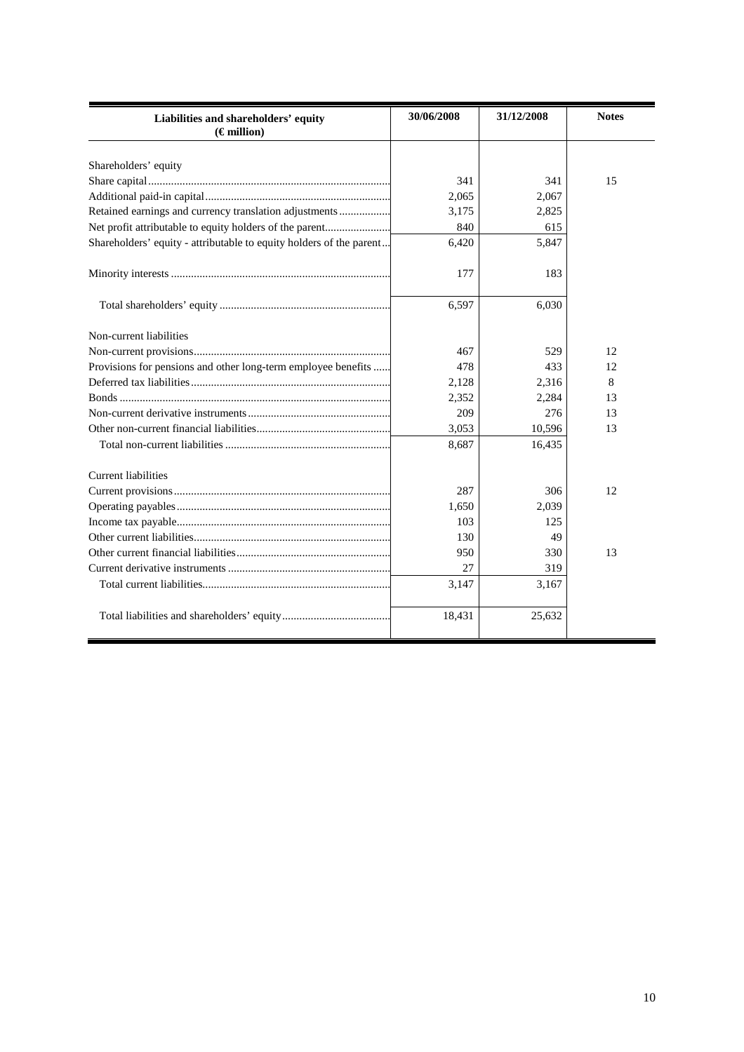| Liabilities and shareholders' equity<br>$(\epsilon$ million)        | 30/06/2008 | 31/12/2008 | <b>Notes</b> |
|---------------------------------------------------------------------|------------|------------|--------------|
| Shareholders' equity                                                |            |            |              |
|                                                                     | 341        | 341        | 15           |
|                                                                     | 2.065      | 2,067      |              |
| Retained earnings and currency translation adjustments              | 3.175      | 2,825      |              |
| Net profit attributable to equity holders of the parent             | 840        | 615        |              |
| Shareholders' equity - attributable to equity holders of the parent | 6,420      | 5,847      |              |
|                                                                     |            |            |              |
|                                                                     | 177        | 183        |              |
|                                                                     | 6,597      | 6,030      |              |
| Non-current liabilities                                             |            |            |              |
|                                                                     | 467        | 529        | 12           |
| Provisions for pensions and other long-term employee benefits       | 478        | 433        | 12           |
|                                                                     | 2,128      | 2,316      | 8            |
|                                                                     | 2,352      | 2,284      | 13           |
|                                                                     | 209        | 276        | 13           |
|                                                                     | 3,053      | 10,596     | 13           |
|                                                                     | 8,687      | 16,435     |              |
| <b>Current liabilities</b>                                          |            |            |              |
|                                                                     | 287        | 306        | 12           |
|                                                                     | 1,650      | 2,039      |              |
|                                                                     | 103        | 125        |              |
|                                                                     | 130        | 49         |              |
|                                                                     | 950        | 330        | 13           |
|                                                                     | 27         | 319        |              |
|                                                                     | 3,147      | 3,167      |              |
|                                                                     | 18,431     | 25,632     |              |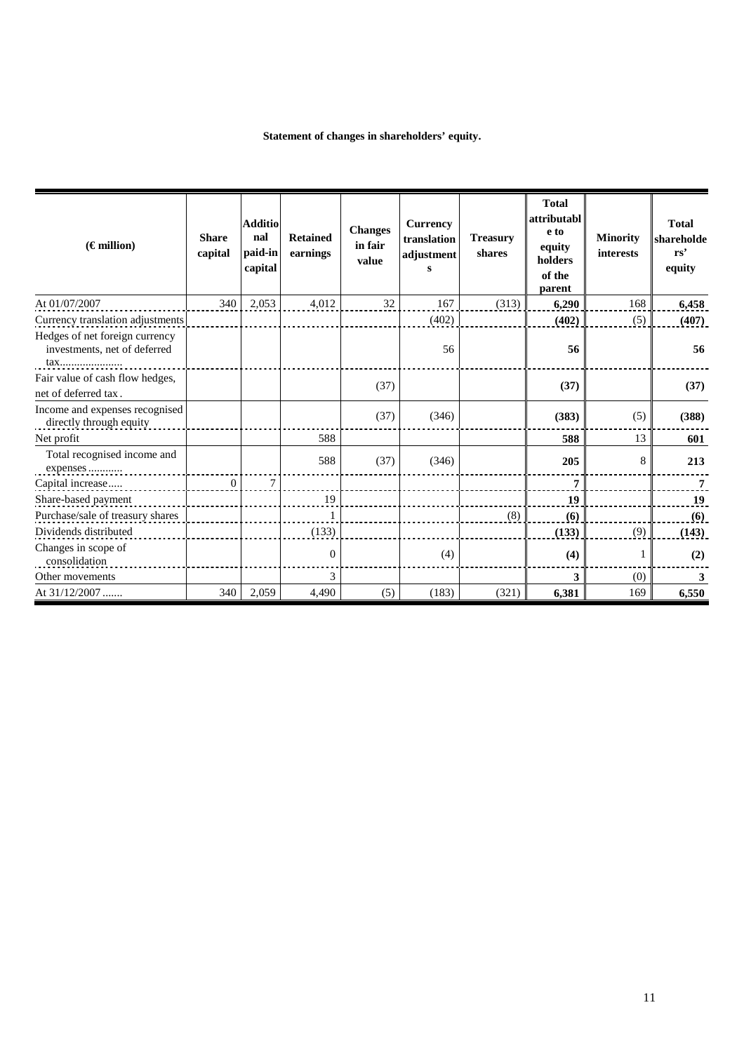# **Statement of changes in shareholders' equity.**

| $(\epsilon$ million)                                                  | <b>Share</b><br>capital | <b>Additio</b><br>nal<br>paid-in<br>capital | <b>Retained</b><br>earnings | <b>Changes</b><br>in fair<br>value | <b>Currency</b><br>translation<br>adjustment<br>s | <b>Treasury</b><br>shares | <b>Total</b><br>attributabl<br>e to<br>equity<br>holders<br>of the<br>parent | <b>Minority</b><br>interests | <b>Total</b><br>shareholde<br>rs'<br>equity |
|-----------------------------------------------------------------------|-------------------------|---------------------------------------------|-----------------------------|------------------------------------|---------------------------------------------------|---------------------------|------------------------------------------------------------------------------|------------------------------|---------------------------------------------|
| At 01/07/2007                                                         | 340                     | 2,053                                       | 4,012                       | 32                                 | 167                                               | (313)                     | 6,290                                                                        | 168                          | 6.458                                       |
| Currency translation adjustments                                      |                         |                                             |                             |                                    | (402)                                             |                           | (402)                                                                        | (5)                          | (407)                                       |
| Hedges of net foreign currency<br>investments, net of deferred<br>tax |                         |                                             |                             |                                    | 56                                                |                           | 56                                                                           |                              | 56                                          |
| Fair value of cash flow hedges,                                       |                         |                                             |                             | (37)                               |                                                   |                           | (37)                                                                         |                              | (37)                                        |
| net of deferred tax.                                                  |                         |                                             |                             |                                    |                                                   |                           |                                                                              |                              |                                             |
| Income and expenses recognised<br>directly through equity             |                         |                                             |                             | (37)                               | (346)                                             |                           | (383)                                                                        | (5)                          | (388)                                       |
| Net profit                                                            |                         |                                             | 588                         |                                    |                                                   |                           | 588                                                                          | 13                           | 601                                         |
| Total recognised income and<br>expenses                               |                         |                                             | 588                         | (37)                               | (346)                                             |                           | 205                                                                          | 8                            | 213                                         |
| Capital increase                                                      | $\overline{0}$          | $\overline{7}$                              |                             |                                    |                                                   |                           | 7                                                                            |                              | 7                                           |
| Share-based payment                                                   |                         |                                             | 19                          |                                    |                                                   |                           | 19                                                                           |                              | 19                                          |
| Purchase/sale of treasury shares                                      |                         |                                             |                             |                                    |                                                   | (8)                       | (6)                                                                          |                              | (6)                                         |
| Dividends distributed                                                 |                         |                                             | (133)                       |                                    |                                                   |                           | (133)                                                                        | (9)                          | (143)                                       |
| Changes in scope of<br>consolidation                                  |                         |                                             | $\boldsymbol{0}$            |                                    | (4)                                               |                           | (4)                                                                          |                              | (2)                                         |
| Other movements                                                       |                         |                                             | 3                           |                                    |                                                   |                           | 3                                                                            | (0)                          | 3                                           |
| At 31/12/2007                                                         | 340                     | 2,059                                       | 4,490                       | (5)                                | (183)                                             | (321)                     | 6,381                                                                        | 169                          | 6,550                                       |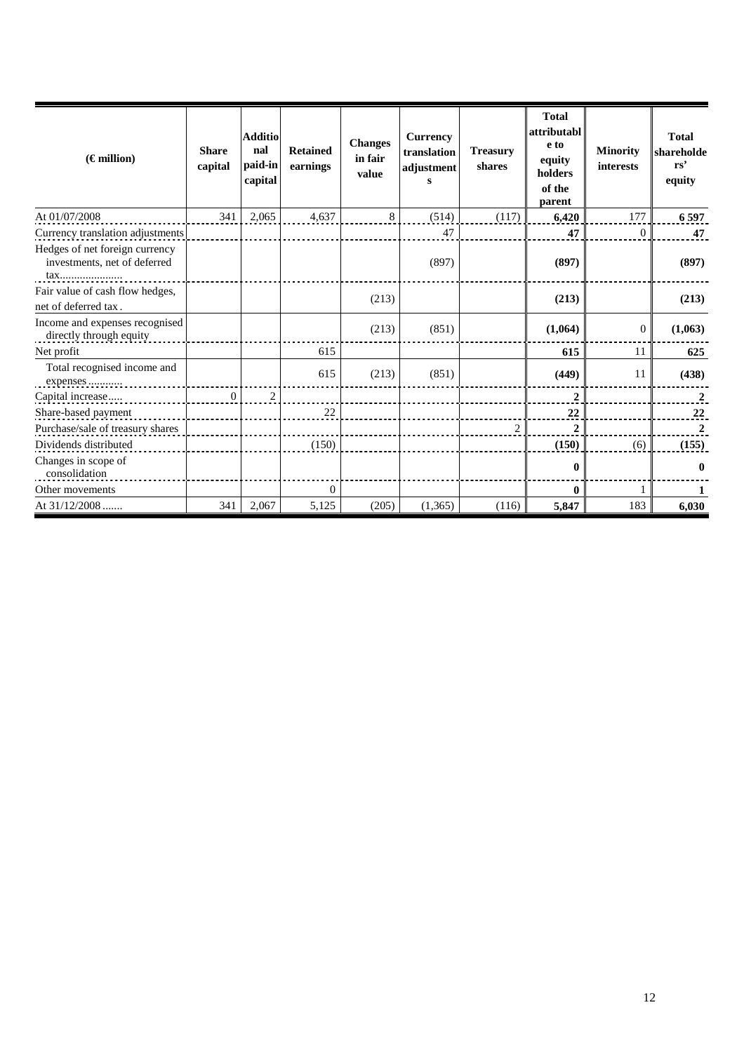| $(\epsilon$ million)                                           | <b>Share</b><br>capital | <b>Additio</b><br>nal<br>paid-in<br>capital | <b>Retained</b><br>earnings | <b>Changes</b><br>in fair<br>value | <b>Currency</b><br>translation<br>adjustment<br>s | <b>Treasury</b><br>shares | <b>Total</b><br>attributabl<br>e to<br>equity<br>holders<br>of the<br>parent | <b>Minority</b><br>interests | <b>Total</b><br>shareholde<br>rs'<br>equity |
|----------------------------------------------------------------|-------------------------|---------------------------------------------|-----------------------------|------------------------------------|---------------------------------------------------|---------------------------|------------------------------------------------------------------------------|------------------------------|---------------------------------------------|
| At 01/07/2008                                                  | 341                     | 2,065                                       | 4,637                       | 8                                  | (514)                                             | (117)                     | 6,420                                                                        | 177                          | 6597                                        |
| Currency translation adjustments                               |                         |                                             |                             |                                    | 47                                                |                           | 47                                                                           | $\theta$                     | 47                                          |
| Hedges of net foreign currency<br>investments, net of deferred |                         |                                             |                             |                                    | (897)                                             |                           | (897)                                                                        |                              | (897)                                       |
| Fair value of cash flow hedges,<br>net of deferred tax.        |                         |                                             |                             | (213)                              |                                                   |                           | (213)                                                                        |                              | (213)                                       |
| Income and expenses recognised<br>directly through equity      |                         |                                             |                             | (213)                              | (851)                                             |                           | (1,064)                                                                      | $\Omega$                     | (1,063)                                     |
| Net profit                                                     |                         |                                             | 615                         |                                    |                                                   |                           | 615                                                                          | 11                           | 625                                         |
| Total recognised income and<br>expenses                        |                         |                                             | 615                         | (213)                              | (851)                                             |                           | (449)                                                                        | 11                           | (438)                                       |
| Capital increase                                               | $\overline{0}$          | 2                                           |                             |                                    |                                                   |                           | $\overline{2}$                                                               |                              | $\overline{2}$                              |
| Share-based payment                                            |                         |                                             | 22                          |                                    |                                                   |                           | 22                                                                           |                              | 22                                          |
| Purchase/sale of treasury shares                               |                         |                                             |                             |                                    |                                                   | $\overline{2}$            | $\boldsymbol{2}$                                                             |                              | $\boldsymbol{2}$                            |
| Dividends distributed                                          |                         |                                             | (150)                       |                                    |                                                   |                           | (150)                                                                        | (6)                          | (155)                                       |
| Changes in scope of<br>consolidation                           |                         |                                             |                             |                                    |                                                   |                           | 0                                                                            |                              | 0                                           |
| Other movements                                                |                         |                                             | $\overline{0}$              |                                    |                                                   |                           | 0                                                                            |                              |                                             |
| At $31/12/2008$                                                | 341                     | 2,067                                       | 5,125                       | (205)                              | (1,365)                                           | (116)                     | 5,847                                                                        | 183                          | 6,030                                       |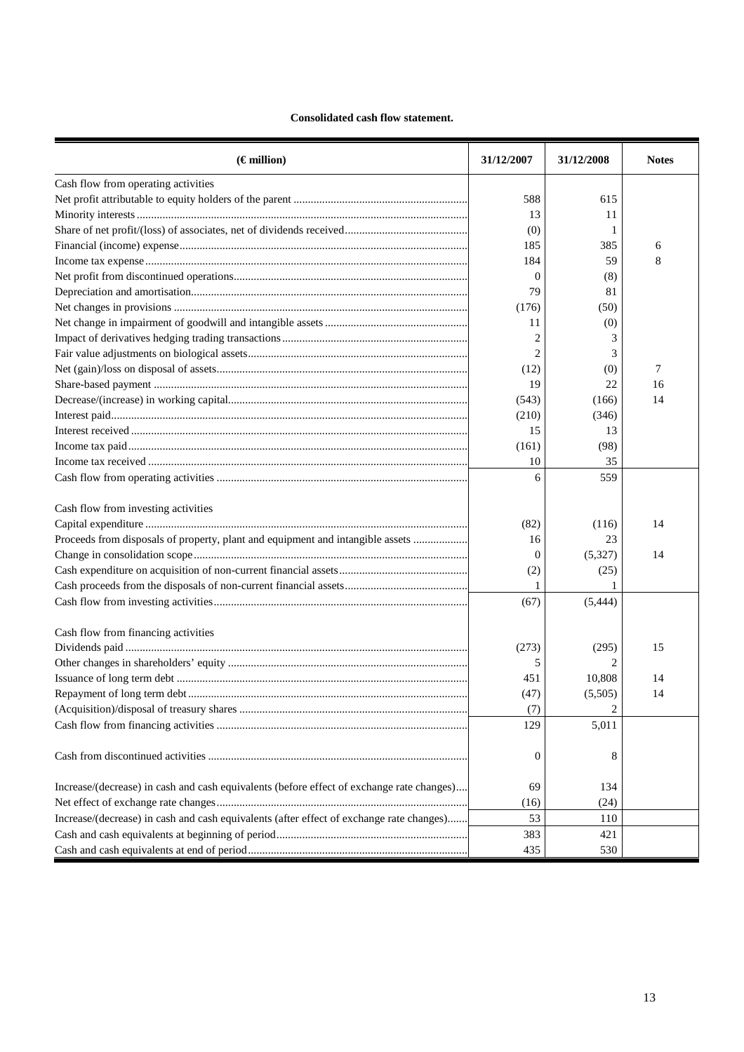# **Consolidated cash flow statement.**

| $(\epsilon$ million)                                                                      | 31/12/2007       | 31/12/2008     | <b>Notes</b> |
|-------------------------------------------------------------------------------------------|------------------|----------------|--------------|
| Cash flow from operating activities                                                       |                  |                |              |
|                                                                                           | 588              | 615            |              |
|                                                                                           | 13               | 11             |              |
|                                                                                           | (0)              |                |              |
|                                                                                           | 185              | 385            | 6            |
|                                                                                           | 184              | 59             | 8            |
|                                                                                           | $\Omega$         | (8)            |              |
|                                                                                           | 79               | 81             |              |
|                                                                                           | (176)            | (50)           |              |
|                                                                                           | 11               | (0)            |              |
|                                                                                           | $\overline{c}$   | 3              |              |
|                                                                                           | $\overline{c}$   | 3              |              |
|                                                                                           | (12)             | (0)            | 7            |
|                                                                                           | 19               | 22             | 16           |
|                                                                                           | (543)            | (166)          | 14           |
|                                                                                           | (210)            | (346)          |              |
|                                                                                           | 15               | 13             |              |
|                                                                                           | (161)            | (98)           |              |
|                                                                                           | 10               | 35             |              |
|                                                                                           | 6                | 559            |              |
|                                                                                           |                  |                |              |
| Cash flow from investing activities                                                       |                  |                |              |
|                                                                                           | (82)             | (116)          | 14           |
| Proceeds from disposals of property, plant and equipment and intangible assets            | 16               | 23             |              |
|                                                                                           | $\overline{0}$   | (5,327)        | 14           |
|                                                                                           | (2)              | (25)           |              |
|                                                                                           | 1                |                |              |
|                                                                                           | (67)             | (5, 444)       |              |
| Cash flow from financing activities                                                       |                  |                |              |
|                                                                                           | (273)            | (295)          | 15           |
|                                                                                           | 5                | 2              |              |
|                                                                                           | 451              | 10,808         | 14           |
|                                                                                           | (47)             | (5,505)        | 14           |
|                                                                                           | (7)              | $\overline{c}$ |              |
|                                                                                           | 129              | 5,011          |              |
|                                                                                           |                  |                |              |
|                                                                                           | $\boldsymbol{0}$ | 8              |              |
| Increase/(decrease) in cash and cash equivalents (before effect of exchange rate changes) | 69               | 134            |              |
|                                                                                           | (16)             | (24)           |              |
| Increase/(decrease) in cash and cash equivalents (after effect of exchange rate changes)  | 53               | 110            |              |
|                                                                                           | 383              | 421            |              |
|                                                                                           | 435              | 530            |              |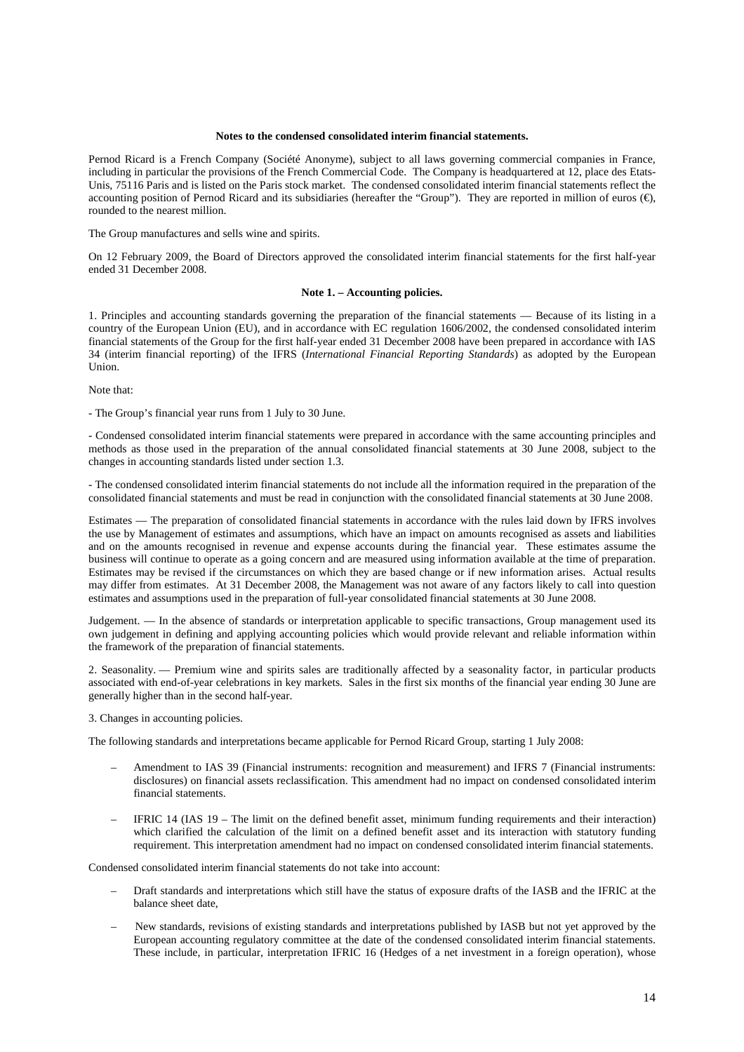#### **Notes to the condensed consolidated interim financial statements.**

Pernod Ricard is a French Company (Société Anonyme), subject to all laws governing commercial companies in France, including in particular the provisions of the French Commercial Code. The Company is headquartered at 12, place des Etats-Unis, 75116 Paris and is listed on the Paris stock market. The condensed consolidated interim financial statements reflect the accounting position of Pernod Ricard and its subsidiaries (hereafter the "Group"). They are reported in million of euros  $(\epsilon)$ , rounded to the nearest million.

The Group manufactures and sells wine and spirits.

On 12 February 2009, the Board of Directors approved the consolidated interim financial statements for the first half-year ended 31 December 2008.

#### **Note 1. – Accounting policies.**

1. Principles and accounting standards governing the preparation of the financial statements — Because of its listing in a country of the European Union (EU), and in accordance with EC regulation 1606/2002, the condensed consolidated interim financial statements of the Group for the first half-year ended 31 December 2008 have been prepared in accordance with IAS 34 (interim financial reporting) of the IFRS (*International Financial Reporting Standards*) as adopted by the European Union.

Note that:

- The Group's financial year runs from 1 July to 30 June.

- Condensed consolidated interim financial statements were prepared in accordance with the same accounting principles and methods as those used in the preparation of the annual consolidated financial statements at 30 June 2008, subject to the changes in accounting standards listed under section 1.3.

- The condensed consolidated interim financial statements do not include all the information required in the preparation of the consolidated financial statements and must be read in conjunction with the consolidated financial statements at 30 June 2008.

Estimates — The preparation of consolidated financial statements in accordance with the rules laid down by IFRS involves the use by Management of estimates and assumptions, which have an impact on amounts recognised as assets and liabilities and on the amounts recognised in revenue and expense accounts during the financial year. These estimates assume the business will continue to operate as a going concern and are measured using information available at the time of preparation. Estimates may be revised if the circumstances on which they are based change or if new information arises. Actual results may differ from estimates. At 31 December 2008, the Management was not aware of any factors likely to call into question estimates and assumptions used in the preparation of full-year consolidated financial statements at 30 June 2008.

Judgement. — In the absence of standards or interpretation applicable to specific transactions, Group management used its own judgement in defining and applying accounting policies which would provide relevant and reliable information within the framework of the preparation of financial statements.

2. Seasonality. — Premium wine and spirits sales are traditionally affected by a seasonality factor, in particular products associated with end-of-year celebrations in key markets. Sales in the first six months of the financial year ending 30 June are generally higher than in the second half-year.

3. Changes in accounting policies.

The following standards and interpretations became applicable for Pernod Ricard Group, starting 1 July 2008:

- Amendment to IAS 39 (Financial instruments: recognition and measurement) and IFRS 7 (Financial instruments: disclosures) on financial assets reclassification. This amendment had no impact on condensed consolidated interim financial statements.
- IFRIC 14 (IAS 19 The limit on the defined benefit asset, minimum funding requirements and their interaction) which clarified the calculation of the limit on a defined benefit asset and its interaction with statutory funding requirement. This interpretation amendment had no impact on condensed consolidated interim financial statements.

Condensed consolidated interim financial statements do not take into account:

- Draft standards and interpretations which still have the status of exposure drafts of the IASB and the IFRIC at the balance sheet date,
- New standards, revisions of existing standards and interpretations published by IASB but not yet approved by the European accounting regulatory committee at the date of the condensed consolidated interim financial statements. These include, in particular, interpretation IFRIC 16 (Hedges of a net investment in a foreign operation), whose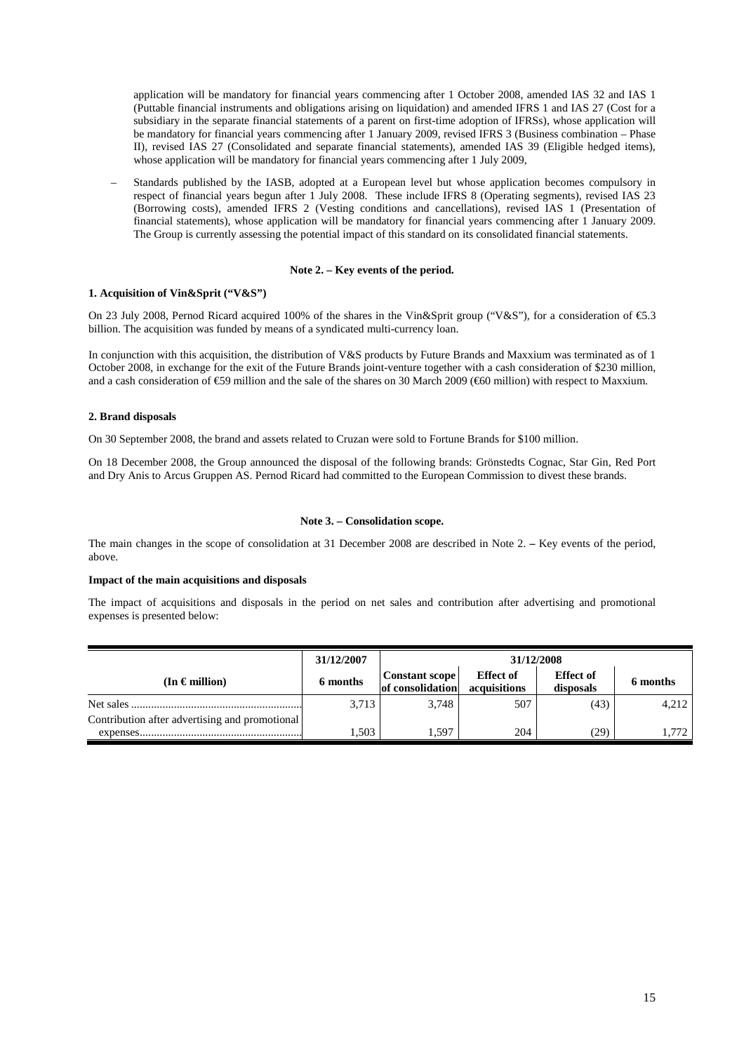application will be mandatory for financial years commencing after 1 October 2008, amended IAS 32 and IAS 1 (Puttable financial instruments and obligations arising on liquidation) and amended IFRS 1 and IAS 27 (Cost for a subsidiary in the separate financial statements of a parent on first-time adoption of IFRSs), whose application will be mandatory for financial years commencing after 1 January 2009, revised IFRS 3 (Business combination – Phase II), revised IAS 27 (Consolidated and separate financial statements), amended IAS 39 (Eligible hedged items), whose application will be mandatory for financial years commencing after 1 July 2009.

– Standards published by the IASB, adopted at a European level but whose application becomes compulsory in respect of financial years begun after 1 July 2008. These include IFRS 8 (Operating segments), revised IAS 23 (Borrowing costs), amended IFRS 2 (Vesting conditions and cancellations), revised IAS 1 (Presentation of financial statements), whose application will be mandatory for financial years commencing after 1 January 2009. The Group is currently assessing the potential impact of this standard on its consolidated financial statements.

## **Note 2. – Key events of the period.**

### **1. Acquisition of Vin&Sprit ("V&S")**

On 23 July 2008, Pernod Ricard acquired 100% of the shares in the Vin&Sprit group ("V&S"), for a consideration of €5.3 billion. The acquisition was funded by means of a syndicated multi-currency loan.

In conjunction with this acquisition, the distribution of V&S products by Future Brands and Maxxium was terminated as of 1 October 2008, in exchange for the exit of the Future Brands joint-venture together with a cash consideration of \$230 million, and a cash consideration of  $\epsilon$ 59 million and the sale of the shares on 30 March 2009 ( $\epsilon$ 60 million) with respect to Maxxium.

### **2. Brand disposals**

On 30 September 2008, the brand and assets related to Cruzan were sold to Fortune Brands for \$100 million.

On 18 December 2008, the Group announced the disposal of the following brands: Grönstedts Cognac, Star Gin, Red Port and Dry Anis to Arcus Gruppen AS. Pernod Ricard had committed to the European Commission to divest these brands.

### **Note 3. – Consolidation scope.**

The main changes in the scope of consolidation at 31 December 2008 are described in Note 2. **–** Key events of the period, above.

#### **Impact of the main acquisitions and disposals**

The impact of acquisitions and disposals in the period on net sales and contribution after advertising and promotional expenses is presented below:

|                                                | 31/12/2007 | 31/12/2008                         |                                  |                               |          |
|------------------------------------------------|------------|------------------------------------|----------------------------------|-------------------------------|----------|
| (In $\epsilon$ million)                        | 6 months   | Constant scope<br>of consolidation | <b>Effect of</b><br>acquisitions | <b>Effect</b> of<br>disposals | 6 months |
| Net sales                                      | 3,713      | 3.748                              | 507                              | (43)                          | 4,212    |
| Contribution after advertising and promotional |            |                                    |                                  |                               |          |
| expenses.                                      | 1.503      | . 597                              | 204                              | 29)                           | 1.772    |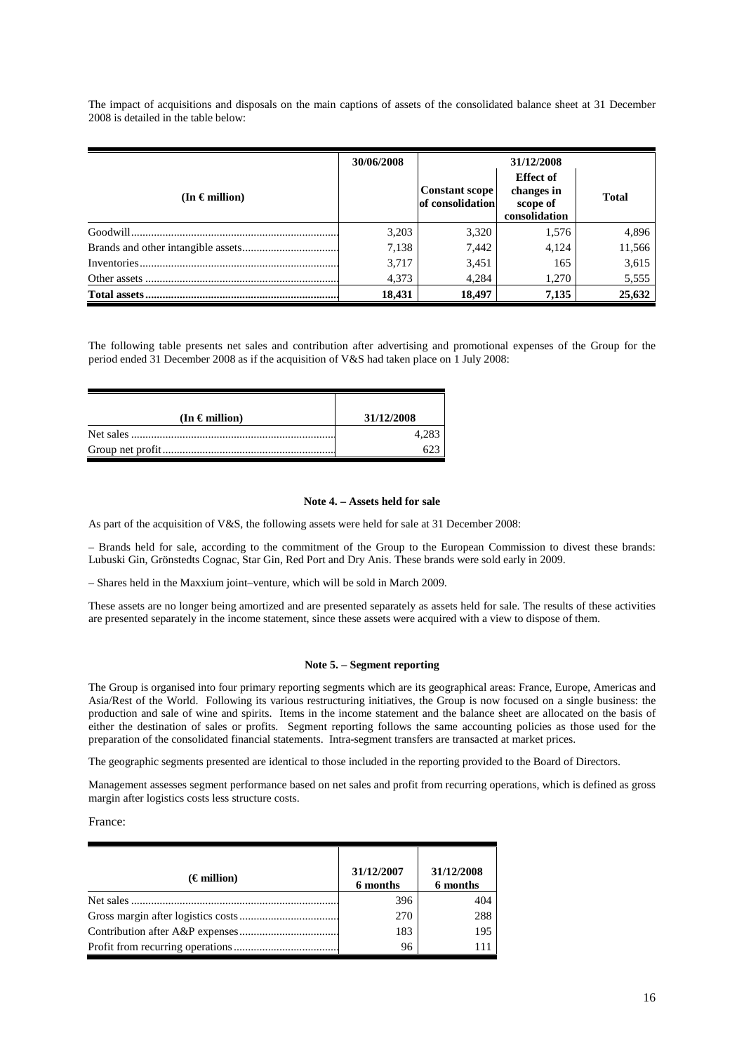The impact of acquisitions and disposals on the main captions of assets of the consolidated balance sheet at 31 December 2008 is detailed in the table below:

|                         | 30/06/2008 | 31/12/2008                                |                                                             |              |
|-------------------------|------------|-------------------------------------------|-------------------------------------------------------------|--------------|
| (In $\epsilon$ million) |            | <b>Constant scope</b><br>of consolidation | <b>Effect of</b><br>changes in<br>scope of<br>consolidation | <b>Total</b> |
|                         | 3,203      | 3,320                                     | 1,576                                                       | 4,896        |
|                         | 7,138      | 7.442                                     | 4,124                                                       | 11,566       |
|                         | 3,717      | 3,451                                     | 165                                                         | 3,615        |
|                         | 4,373      | 4.284                                     | 1.270                                                       | 5,555        |
|                         | 18,431     | 18.497                                    | 7,135                                                       | 25,632       |

The following table presents net sales and contribution after advertising and promotional expenses of the Group for the period ended 31 December 2008 as if the acquisition of V&S had taken place on 1 July 2008:

| $(In \in million)$ | 31/12/2008 |
|--------------------|------------|
|                    | 4.283      |
|                    |            |

#### **Note 4. – Assets held for sale**

As part of the acquisition of V&S, the following assets were held for sale at 31 December 2008:

– Brands held for sale, according to the commitment of the Group to the European Commission to divest these brands: Lubuski Gin, Grönstedts Cognac, Star Gin, Red Port and Dry Anis. These brands were sold early in 2009.

– Shares held in the Maxxium joint–venture, which will be sold in March 2009.

These assets are no longer being amortized and are presented separately as assets held for sale. The results of these activities are presented separately in the income statement, since these assets were acquired with a view to dispose of them.

#### **Note 5. – Segment reporting**

The Group is organised into four primary reporting segments which are its geographical areas: France, Europe, Americas and Asia/Rest of the World. Following its various restructuring initiatives, the Group is now focused on a single business: the production and sale of wine and spirits. Items in the income statement and the balance sheet are allocated on the basis of either the destination of sales or profits. Segment reporting follows the same accounting policies as those used for the preparation of the consolidated financial statements. Intra-segment transfers are transacted at market prices.

The geographic segments presented are identical to those included in the reporting provided to the Board of Directors.

Management assesses segment performance based on net sales and profit from recurring operations, which is defined as gross margin after logistics costs less structure costs.

France:

| (€ million) | 31/12/2007<br>6 months | 31/12/2008<br>6 months |
|-------------|------------------------|------------------------|
|             | 396                    | 404                    |
|             | 270                    | 288                    |
|             | 183                    | 195                    |
|             | 96                     |                        |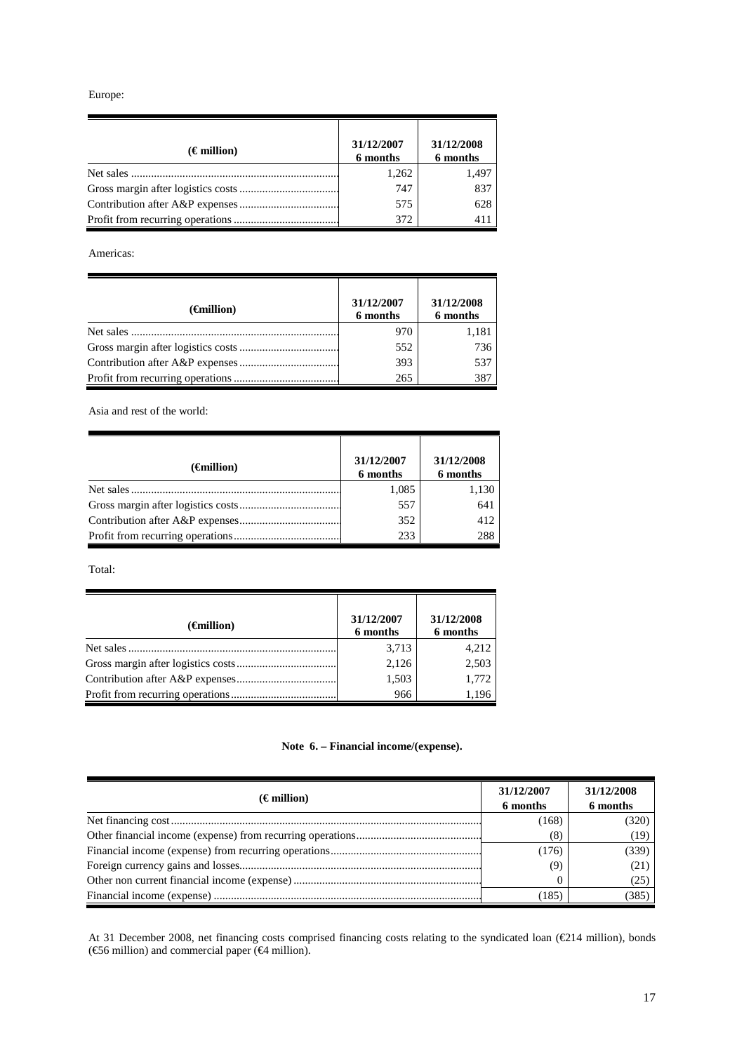Europe:

| $(\epsilon$ million) | 31/12/2007<br>6 months | 31/12/2008<br>6 months |
|----------------------|------------------------|------------------------|
| Net sales            | 1,262                  | 1,497                  |
|                      | 747                    | 837                    |
|                      | 575                    | 628                    |
|                      | 372                    | 411                    |

Americas:

| $(\epsilon$ million) | 31/12/2007<br>6 months | 31/12/2008<br>6 months |
|----------------------|------------------------|------------------------|
| Net sales            | 970                    | 1,181                  |
|                      | 552                    | 736                    |
|                      | 393                    | 537                    |
|                      | 265                    | 387                    |

Asia and rest of the world:

| $(\epsilon$ million) | 31/12/2007<br>6 months | 31/12/2008<br>6 months |
|----------------------|------------------------|------------------------|
|                      | 1,085                  | 1,130                  |
|                      | 557                    | 641                    |
|                      | 352                    | 412                    |
|                      | 233                    | 288                    |

Total:

| $(\epsilon$ million) | 31/12/2007<br>6 months | 31/12/2008<br>6 months |
|----------------------|------------------------|------------------------|
|                      | 3,713                  | 4,212                  |
|                      | 2,126                  | 2,503                  |
|                      | 1,503                  | 1,772                  |
|                      | 966                    | 1,196                  |

# **Note 6. – Financial income/(expense).**

| $(\epsilon$ million) | 31/12/2007<br>6 months | 31/12/2008<br>6 months |
|----------------------|------------------------|------------------------|
|                      | (168)                  | (320)                  |
|                      | (8)                    | (19)                   |
|                      | (176)                  | (339)                  |
|                      | (9)                    | (21)                   |
|                      |                        | (25)                   |
|                      | (185)                  | (385)                  |

At 31 December 2008, net financing costs comprised financing costs relating to the syndicated loan (€214 million), bonds (€56 million) and commercial paper (€4 million).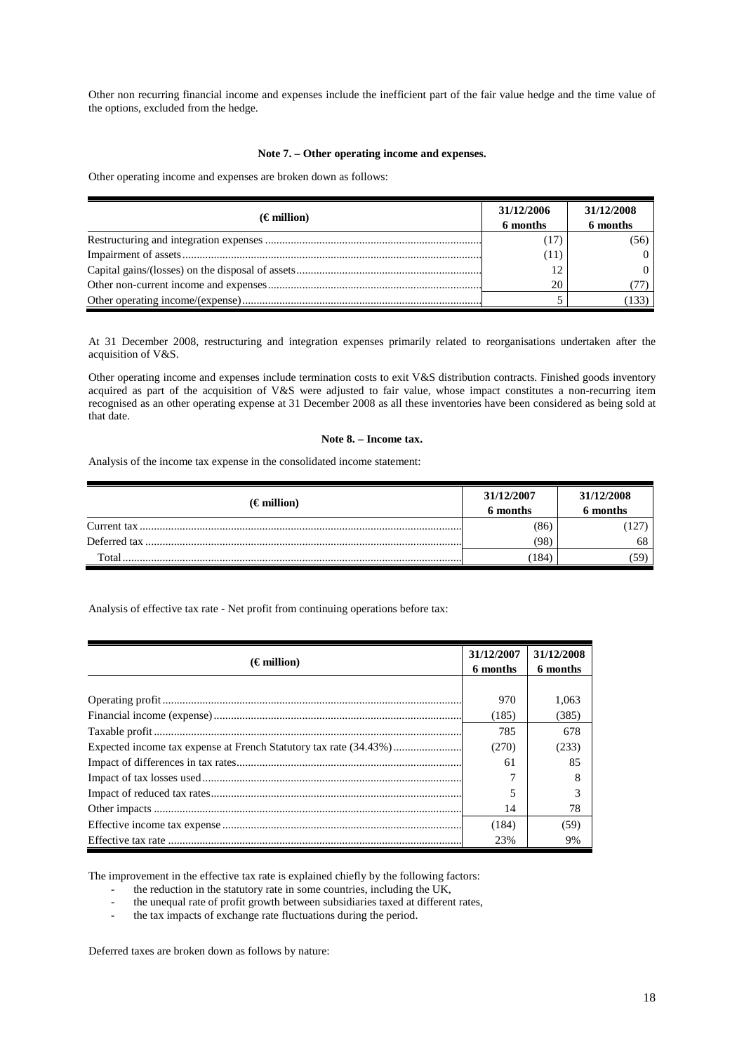Other non recurring financial income and expenses include the inefficient part of the fair value hedge and the time value of the options, excluded from the hedge.

## **Note 7. – Other operating income and expenses.**

Other operating income and expenses are broken down as follows:

| $(\epsilon$ million) | 31/12/2006<br>6 months | 31/12/2008<br>6 months |
|----------------------|------------------------|------------------------|
|                      |                        | (56)                   |
|                      | (11)                   |                        |
|                      | 12                     |                        |
|                      | 20                     |                        |
|                      |                        | 133                    |

At 31 December 2008, restructuring and integration expenses primarily related to reorganisations undertaken after the acquisition of V&S.

Other operating income and expenses include termination costs to exit V&S distribution contracts. Finished goods inventory acquired as part of the acquisition of V&S were adjusted to fair value, whose impact constitutes a non-recurring item recognised as an other operating expense at 31 December 2008 as all these inventories have been considered as being sold at that date.

### **Note 8. – Income tax.**

Analysis of the income tax expense in the consolidated income statement:

| $(\epsilon$ million) | 31/12/2007<br>6 months | 31/12/2008<br>6 months |
|----------------------|------------------------|------------------------|
|                      | (86)                   |                        |
|                      | (98                    | 68                     |
| Total                | 184                    | יכ.                    |

Analysis of effective tax rate - Net profit from continuing operations before tax:

| $(\epsilon$ million) | 31/12/2007<br>6 months | 31/12/2008<br>6 months |
|----------------------|------------------------|------------------------|
|                      |                        |                        |
|                      | 970                    | 1.063                  |
|                      | (185)                  | (385)                  |
|                      | 785                    | 678                    |
|                      | (270)                  | (233)                  |
|                      | 61                     | 85                     |
|                      |                        | 8                      |
|                      |                        |                        |
|                      | 14                     | 78                     |
|                      | (184)                  | (59)                   |
|                      | 23%                    | 9%                     |

The improvement in the effective tax rate is explained chiefly by the following factors:

- the reduction in the statutory rate in some countries, including the UK,<br>the unequal rate of profit growth between subsidiaries taxed at difference

- the unequal rate of profit growth between subsidiaries taxed at different rates,
- the tax impacts of exchange rate fluctuations during the period.

Deferred taxes are broken down as follows by nature: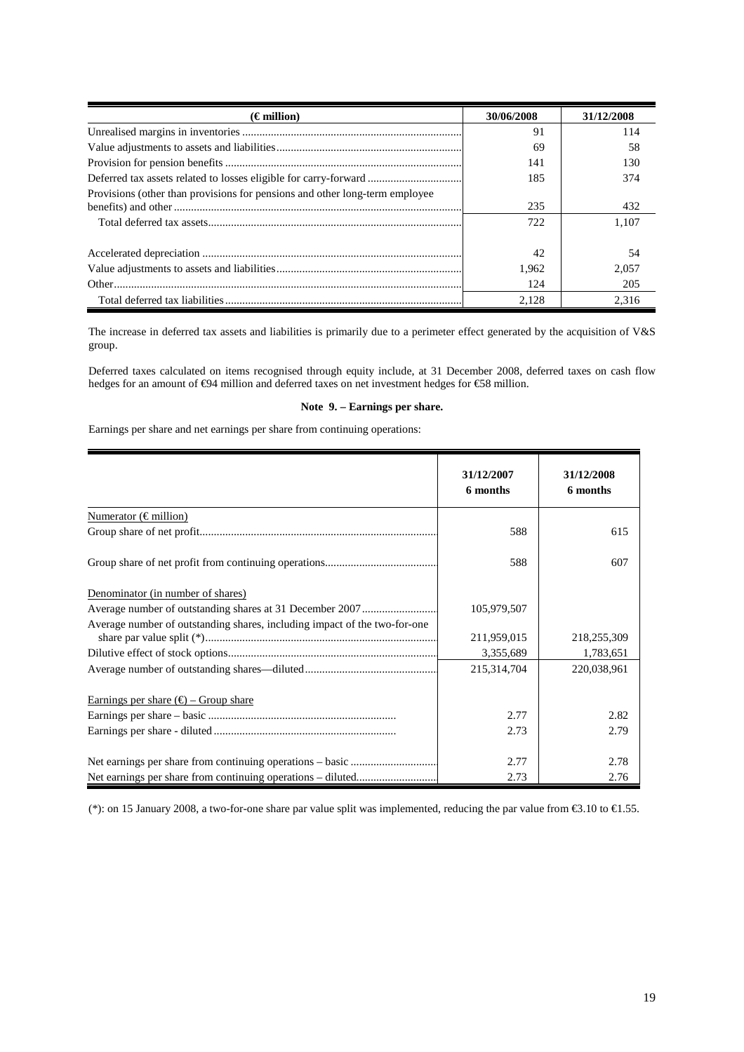| $(\epsilon$ million)                                                        | 30/06/2008 | 31/12/2008 |
|-----------------------------------------------------------------------------|------------|------------|
|                                                                             | 91         | 114        |
|                                                                             | 69         | 58         |
|                                                                             | 141        | 130        |
| Deferred tax assets related to losses eligible for carry-forward            | 185        | 374        |
| Provisions (other than provisions for pensions and other long-term employee |            |            |
|                                                                             | 235        | 432        |
|                                                                             | 722        | 1.107      |
|                                                                             |            |            |
|                                                                             | 42         | 54         |
|                                                                             | 1.962      | 2.057      |
|                                                                             | 124        | 205        |
|                                                                             | 2.128      | 2.316      |

The increase in deferred tax assets and liabilities is primarily due to a perimeter effect generated by the acquisition of V&S group.

Deferred taxes calculated on items recognised through equity include, at 31 December 2008, deferred taxes on cash flow hedges for an amount of €94 million and deferred taxes on net investment hedges for €58 million.

# **Note 9. – Earnings per share.**

Earnings per share and net earnings per share from continuing operations:

|                                                                           | 31/12/2007<br>6 months | 31/12/2008<br>6 months |
|---------------------------------------------------------------------------|------------------------|------------------------|
| Numerator ( $\in$ million)                                                |                        |                        |
|                                                                           | 588                    | 615                    |
|                                                                           | 588                    | 607                    |
| Denominator (in number of shares)                                         |                        |                        |
|                                                                           | 105,979,507            |                        |
| Average number of outstanding shares, including impact of the two-for-one | 211,959,015            | 218,255,309            |
|                                                                           | 3,355,689              | 1,783,651              |
|                                                                           | 215,314,704            | 220,038,961            |
| Earnings per share $(\epsilon)$ – Group share                             |                        |                        |
|                                                                           | 2.77                   | 2.82                   |
|                                                                           | 2.73                   | 2.79                   |
|                                                                           | 2.77                   | 2.78                   |
|                                                                           | 2.73                   | 2.76                   |

(\*): on 15 January 2008, a two-for-one share par value split was implemented, reducing the par value from €3.10 to €1.55.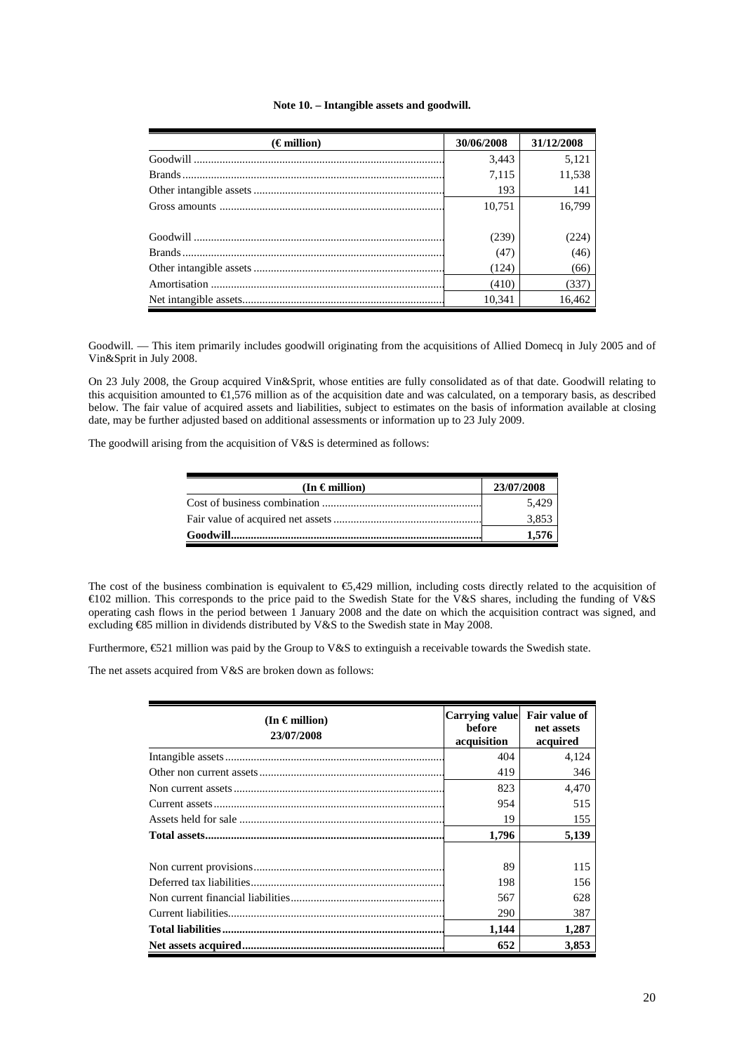#### **Note 10. – Intangible assets and goodwill.**

| $(\epsilon$ million) | 30/06/2008 | 31/12/2008 |
|----------------------|------------|------------|
|                      | 3,443      | 5,121      |
|                      | 7,115      | 11,538     |
|                      | 193        | 141        |
|                      | 10.751     | 16.799     |
|                      | (239)      | (224)      |
|                      | (47)       | (46)       |
|                      | (124)      | (66)       |
|                      | (410)      | (337)      |
|                      | 10.341     | 16.462     |

Goodwill*.* — This item primarily includes goodwill originating from the acquisitions of Allied Domecq in July 2005 and of Vin&Sprit in July 2008.

On 23 July 2008, the Group acquired Vin&Sprit, whose entities are fully consolidated as of that date. Goodwill relating to this acquisition amounted to  $\epsilon$ 1,576 million as of the acquisition date and was calculated, on a temporary basis, as described below. The fair value of acquired assets and liabilities, subject to estimates on the basis of information available at closing date, may be further adjusted based on additional assessments or information up to 23 July 2009.

The goodwill arising from the acquisition of V&S is determined as follows:

| (In $\epsilon$ million) | 23/07/2008 |
|-------------------------|------------|
|                         | 5.429      |
|                         | 3.853      |
|                         | 1.576      |

The cost of the business combination is equivalent to  $\epsilon$ 5,429 million, including costs directly related to the acquisition of €102 million. This corresponds to the price paid to the Swedish State for the V&S shares, including the funding of V&S operating cash flows in the period between 1 January 2008 and the date on which the acquisition contract was signed, and excluding €85 million in dividends distributed by V&S to the Swedish state in May 2008.

Furthermore, €521 million was paid by the Group to V&S to extinguish a receivable towards the Swedish state.

The net assets acquired from V&S are broken down as follows:

| (In $\epsilon$ million)<br>23/07/2008 | <b>Carrying value</b><br><b>before</b><br>acquisition | Fair value of<br>net assets<br>acquired |  |
|---------------------------------------|-------------------------------------------------------|-----------------------------------------|--|
|                                       | 404                                                   | 4,124                                   |  |
|                                       | 419                                                   | 346                                     |  |
|                                       | 823                                                   | 4.470                                   |  |
|                                       | 954                                                   | 515                                     |  |
|                                       | 19                                                    | 155                                     |  |
|                                       | 1,796                                                 | 5,139                                   |  |
|                                       |                                                       |                                         |  |
|                                       | 89                                                    | 115                                     |  |
|                                       | 198                                                   | 156                                     |  |
|                                       | 567                                                   | 628                                     |  |
|                                       | 290                                                   | 387                                     |  |
|                                       | 1,144                                                 | 1,287                                   |  |
|                                       | 652                                                   | 3,853                                   |  |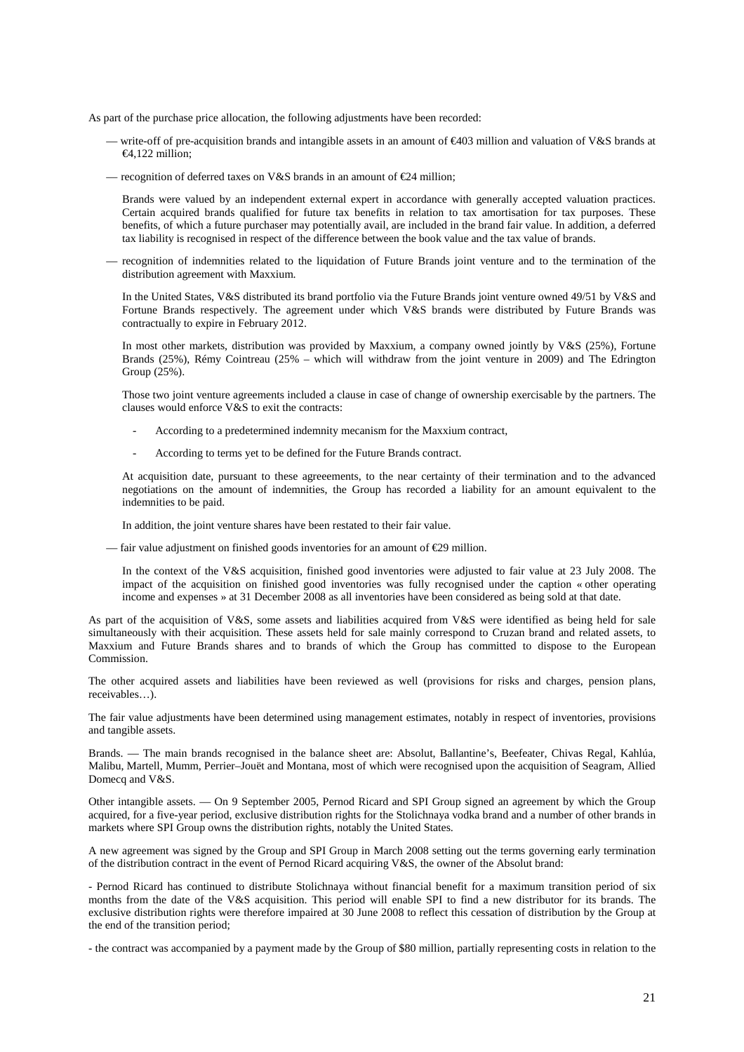As part of the purchase price allocation, the following adjustments have been recorded:

- write-off of pre-acquisition brands and intangible assets in an amount of  $\epsilon$ 403 million and valuation of V&S brands at €4,122 million;
- recognition of deferred taxes on V&S brands in an amount of  $\epsilon$ 24 million;

Brands were valued by an independent external expert in accordance with generally accepted valuation practices. Certain acquired brands qualified for future tax benefits in relation to tax amortisation for tax purposes. These benefits, of which a future purchaser may potentially avail, are included in the brand fair value. In addition, a deferred tax liability is recognised in respect of the difference between the book value and the tax value of brands.

— recognition of indemnities related to the liquidation of Future Brands joint venture and to the termination of the distribution agreement with Maxxium.

In the United States, V&S distributed its brand portfolio via the Future Brands joint venture owned 49/51 by V&S and Fortune Brands respectively. The agreement under which V&S brands were distributed by Future Brands was contractually to expire in February 2012.

In most other markets, distribution was provided by Maxxium, a company owned jointly by V&S (25%), Fortune Brands (25%), Rémy Cointreau (25% – which will withdraw from the joint venture in 2009) and The Edrington Group (25%).

Those two joint venture agreements included a clause in case of change of ownership exercisable by the partners. The clauses would enforce V&S to exit the contracts:

- According to a predetermined indemnity mecanism for the Maxxium contract,
- According to terms yet to be defined for the Future Brands contract.

At acquisition date, pursuant to these agreeements, to the near certainty of their termination and to the advanced negotiations on the amount of indemnities, the Group has recorded a liability for an amount equivalent to the indemnities to be paid.

In addition, the joint venture shares have been restated to their fair value.

— fair value adjustment on finished goods inventories for an amount of  $\epsilon$ 29 million.

In the context of the V&S acquisition, finished good inventories were adjusted to fair value at 23 July 2008. The impact of the acquisition on finished good inventories was fully recognised under the caption « other operating income and expenses » at 31 December 2008 as all inventories have been considered as being sold at that date.

As part of the acquisition of V&S, some assets and liabilities acquired from V&S were identified as being held for sale simultaneously with their acquisition. These assets held for sale mainly correspond to Cruzan brand and related assets, to Maxxium and Future Brands shares and to brands of which the Group has committed to dispose to the European Commission.

The other acquired assets and liabilities have been reviewed as well (provisions for risks and charges, pension plans, receivables…).

The fair value adjustments have been determined using management estimates, notably in respect of inventories, provisions and tangible assets.

Brands. — The main brands recognised in the balance sheet are: Absolut, Ballantine's, Beefeater, Chivas Regal, Kahlúa, Malibu, Martell, Mumm, Perrier–Jouët and Montana, most of which were recognised upon the acquisition of Seagram, Allied Domecq and V&S.

Other intangible assets. — On 9 September 2005, Pernod Ricard and SPI Group signed an agreement by which the Group acquired, for a five-year period, exclusive distribution rights for the Stolichnaya vodka brand and a number of other brands in markets where SPI Group owns the distribution rights, notably the United States.

A new agreement was signed by the Group and SPI Group in March 2008 setting out the terms governing early termination of the distribution contract in the event of Pernod Ricard acquiring V&S, the owner of the Absolut brand:

- Pernod Ricard has continued to distribute Stolichnaya without financial benefit for a maximum transition period of six months from the date of the V&S acquisition. This period will enable SPI to find a new distributor for its brands. The exclusive distribution rights were therefore impaired at 30 June 2008 to reflect this cessation of distribution by the Group at the end of the transition period;

- the contract was accompanied by a payment made by the Group of \$80 million, partially representing costs in relation to the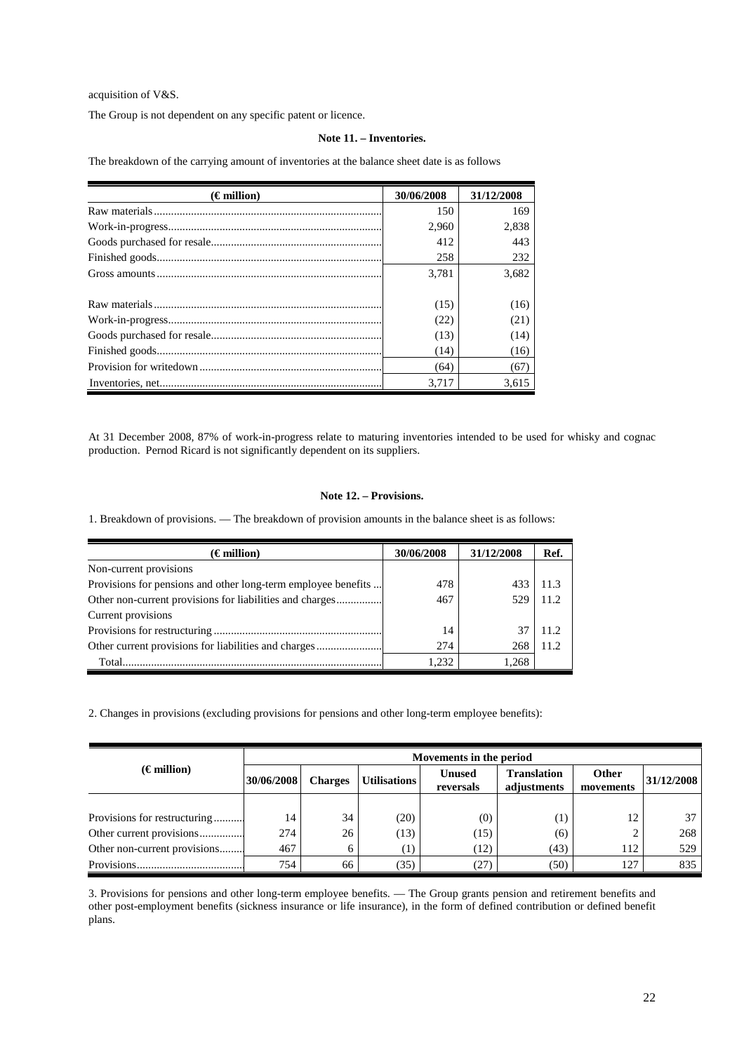acquisition of V&S.

The Group is not dependent on any specific patent or licence.

# **Note 11. – Inventories.**

The breakdown of the carrying amount of inventories at the balance sheet date is as follows

| $(\epsilon$ million) | 30/06/2008 | 31/12/2008 |
|----------------------|------------|------------|
|                      | 150        | 169        |
|                      | 2,960      | 2,838      |
|                      | 412        | 443        |
|                      | 258        | 232        |
|                      | 3.781      | 3,682      |
|                      | (15)       | (16)       |
|                      | (22)       | (21)       |
|                      | (13)       | (14)       |
|                      | (14)       | (16)       |
|                      | (64)       | (67)       |
|                      | 3.717      | 3.615      |

At 31 December 2008, 87% of work-in-progress relate to maturing inventories intended to be used for whisky and cognac production. Pernod Ricard is not significantly dependent on its suppliers.

# **Note 12. – Provisions.**

1. Breakdown of provisions. — The breakdown of provision amounts in the balance sheet is as follows:

| $(\epsilon$ million)                                          | 30/06/2008 | 31/12/2008 | Ref.  |
|---------------------------------------------------------------|------------|------------|-------|
| Non-current provisions                                        |            |            |       |
| Provisions for pensions and other long-term employee benefits | 478        | 433        | 11.3  |
| Other non-current provisions for liabilities and charges      | 467        | 529        | 11.2  |
| Current provisions                                            |            |            |       |
|                                                               | 14         |            | 11.2. |
| Other current provisions for liabilities and charges          | 274        | 268        | 11.2. |
|                                                               | 1.232      | 1.268      |       |

2. Changes in provisions (excluding provisions for pensions and other long-term employee benefits):

|                              | Movements in the period |                |                     |                            |                                   |                           |            |
|------------------------------|-------------------------|----------------|---------------------|----------------------------|-----------------------------------|---------------------------|------------|
| $(\epsilon$ million)         | 30/06/2008              | <b>Charges</b> | <b>Utilisations</b> | <b>Unused</b><br>reversals | <b>Translation</b><br>adjustments | <b>Other</b><br>movements | 31/12/2008 |
|                              |                         |                |                     |                            |                                   |                           |            |
| Provisions for restructuring | 14                      | 34             | (20)                | (0)                        | $\left(1\right)$                  | 12                        | 37         |
| Other current provisions     | 274                     | 26             | (13)                | (15)                       | (6)                               |                           | 268        |
| Other non-current provisions | 467                     | 6              | 1)                  | (12)                       | (43)                              | 112                       | 529        |
|                              | 754                     | 66             | (35)                | 27                         | (50)                              | 127                       | 835        |

3. Provisions for pensions and other long-term employee benefits. — The Group grants pension and retirement benefits and other post-employment benefits (sickness insurance or life insurance), in the form of defined contribution or defined benefit plans.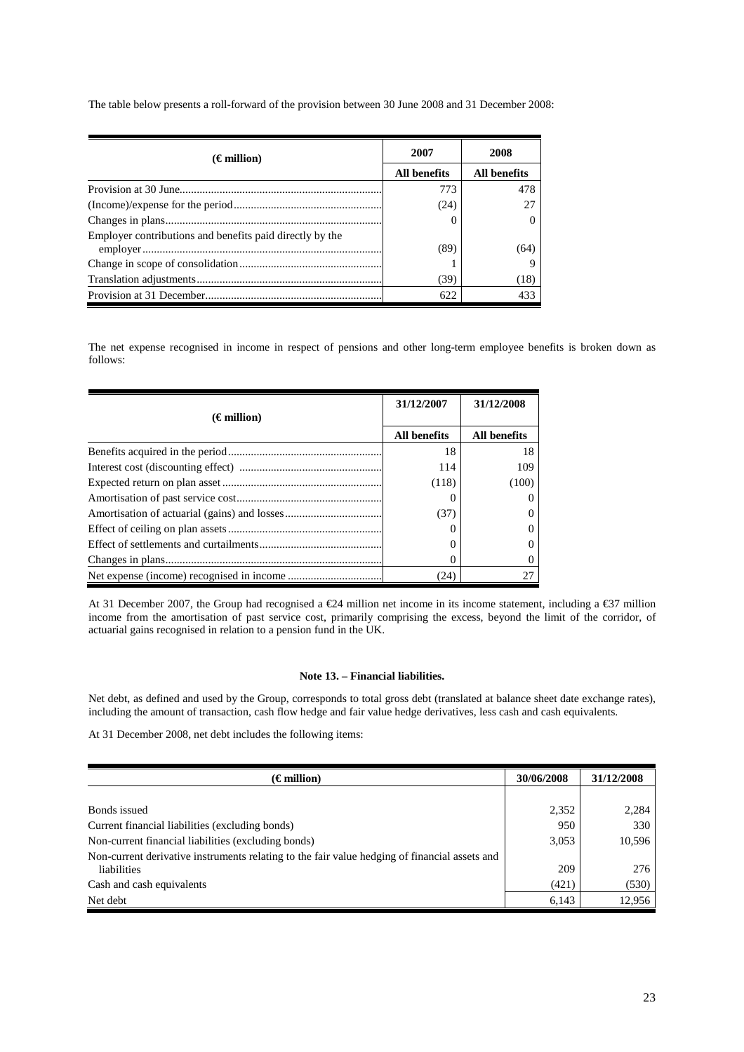| $(\epsilon$ million)                                     | 2007         | 2008                |  |
|----------------------------------------------------------|--------------|---------------------|--|
|                                                          | All benefits | <b>All benefits</b> |  |
|                                                          | 773          | 478                 |  |
|                                                          | (24)         |                     |  |
|                                                          |              |                     |  |
| Employer contributions and benefits paid directly by the |              |                     |  |
|                                                          | (89)         | (64)                |  |
|                                                          |              |                     |  |
|                                                          | (39)         | (18)                |  |
|                                                          | 622          | 433                 |  |

The table below presents a roll-forward of the provision between 30 June 2008 and 31 December 2008:

The net expense recognised in income in respect of pensions and other long-term employee benefits is broken down as follows:

|                      | 31/12/2007          | 31/12/2008          |
|----------------------|---------------------|---------------------|
| $(\epsilon$ million) |                     |                     |
|                      | <b>All benefits</b> | <b>All benefits</b> |
|                      | 18                  | 18                  |
|                      | 114                 | 109                 |
|                      | (118)               | (100)               |
|                      |                     | $\theta$            |
|                      | (37)                | $\theta$            |
|                      |                     | 0                   |
|                      |                     | 0                   |
|                      |                     | $\Omega$            |
|                      | (24)                | 27                  |

At 31 December 2007, the Group had recognised a €24 million net income in its income statement, including a €37 million income from the amortisation of past service cost, primarily comprising the excess, beyond the limit of the corridor, of actuarial gains recognised in relation to a pension fund in the UK.

# **Note 13. – Financial liabilities.**

Net debt, as defined and used by the Group, corresponds to total gross debt (translated at balance sheet date exchange rates), including the amount of transaction, cash flow hedge and fair value hedge derivatives, less cash and cash equivalents.

At 31 December 2008, net debt includes the following items:

| $(\epsilon$ million)                                                                          | 30/06/2008 | 31/12/2008 |
|-----------------------------------------------------------------------------------------------|------------|------------|
|                                                                                               |            |            |
| Bonds issued                                                                                  | 2,352      | 2,284      |
| Current financial liabilities (excluding bonds)                                               | 950        | 330        |
| Non-current financial liabilities (excluding bonds)                                           | 3,053      | 10,596     |
| Non-current derivative instruments relating to the fair value hedging of financial assets and |            |            |
| liabilities                                                                                   | 209        | 276        |
| Cash and cash equivalents                                                                     | (421)      | (530)      |
| Net debt                                                                                      | 6,143      | 12,956     |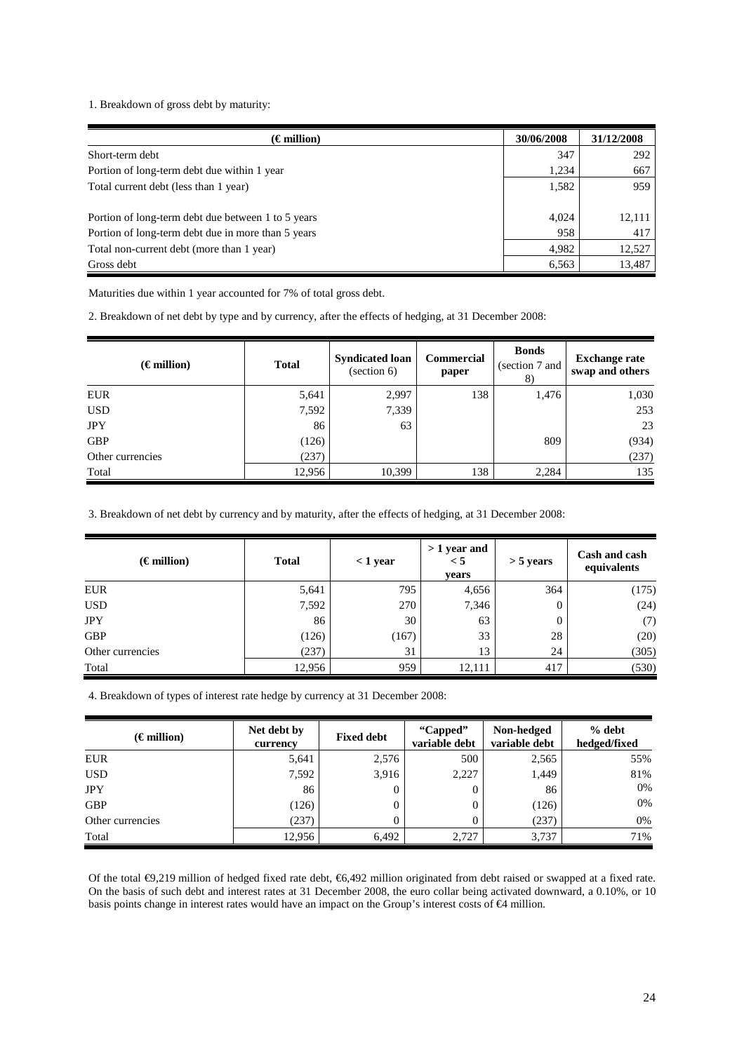1. Breakdown of gross debt by maturity:

| $(\epsilon \text{ million})$                       | 30/06/2008 | 31/12/2008 |
|----------------------------------------------------|------------|------------|
| Short-term debt                                    | 347        | 292        |
| Portion of long-term debt due within 1 year        | 1,234      | 667        |
| Total current debt (less than 1 year)              | 1,582      | 959        |
|                                                    |            |            |
| Portion of long-term debt due between 1 to 5 years | 4.024      | 12,111     |
| Portion of long-term debt due in more than 5 years | 958        | 417        |
| Total non-current debt (more than 1 year)          | 4,982      | 12,527     |
| Gross debt                                         | 6,563      | 13,487     |

Maturities due within 1 year accounted for 7% of total gross debt.

2. Breakdown of net debt by type and by currency, after the effects of hedging, at 31 December 2008:

| $(\epsilon$ million) | <b>Total</b> | <b>Syndicated loan</b><br>(section 6) | <b>Commercial</b><br>paper | <b>Bonds</b><br>(section 7 and<br>8) | <b>Exchange rate</b><br>swap and others |
|----------------------|--------------|---------------------------------------|----------------------------|--------------------------------------|-----------------------------------------|
| <b>EUR</b>           | 5,641        | 2,997                                 | 138                        | 1,476                                | 1,030                                   |
| <b>USD</b>           | 7,592        | 7,339                                 |                            |                                      | 253                                     |
| <b>JPY</b>           | 86           | 63                                    |                            |                                      | 23                                      |
| <b>GBP</b>           | (126)        |                                       |                            | 809                                  | (934)                                   |
| Other currencies     | (237)        |                                       |                            |                                      | (237)                                   |
| Total                | 12,956       | 10,399                                | 138                        | 2,284                                | 135                                     |

3. Breakdown of net debt by currency and by maturity, after the effects of hedging, at 31 December 2008:

| $(\epsilon$ million) | <b>Total</b> | $<$ 1 year | $>1$ year and<br>$\leq 5$<br>years | $>$ 5 years    | Cash and cash<br>equivalents |
|----------------------|--------------|------------|------------------------------------|----------------|------------------------------|
| <b>EUR</b>           | 5,641        | 795        | 4,656                              | 364            | (175)                        |
| <b>USD</b>           | 7,592        | 270        | 7,346                              | 0              | (24)                         |
| <b>JPY</b>           | 86           | 30         | 63                                 | $\overline{0}$ | (7)                          |
| <b>GBP</b>           | (126)        | (167)      | 33                                 | 28             | (20)                         |
| Other currencies     | (237)        | 31         | 13                                 | 24             | (305)                        |
| Total                | 12,956       | 959        | 12,111                             | 417            | (530)                        |

4. Breakdown of types of interest rate hedge by currency at 31 December 2008:

| $(\epsilon$ million) | Net debt by<br>currency | <b>Fixed debt</b> | "Capped"<br>variable debt | Non-hedged<br>variable debt | % debt<br>hedged/fixed |
|----------------------|-------------------------|-------------------|---------------------------|-----------------------------|------------------------|
| <b>EUR</b>           | 5,641                   | 2,576             | 500                       | 2,565                       | 55%                    |
| <b>USD</b>           | 7,592                   | 3,916             | 2,227                     | 1,449                       | 81%                    |
| <b>JPY</b>           | 86                      | $\Omega$          |                           | 86                          | 0%                     |
| <b>GBP</b>           | (126)                   |                   |                           | (126)                       | 0%                     |
| Other currencies     | (237)                   |                   |                           | (237)                       | 0%                     |
| Total                | 12,956                  | 6,492             | 2,727                     | 3,737                       | 71%                    |

Of the total €9,219 million of hedged fixed rate debt, €6,492 million originated from debt raised or swapped at a fixed rate. On the basis of such debt and interest rates at 31 December 2008, the euro collar being activated downward, a 0.10%, or 10 basis points change in interest rates would have an impact on the Group's interest costs of €4 million.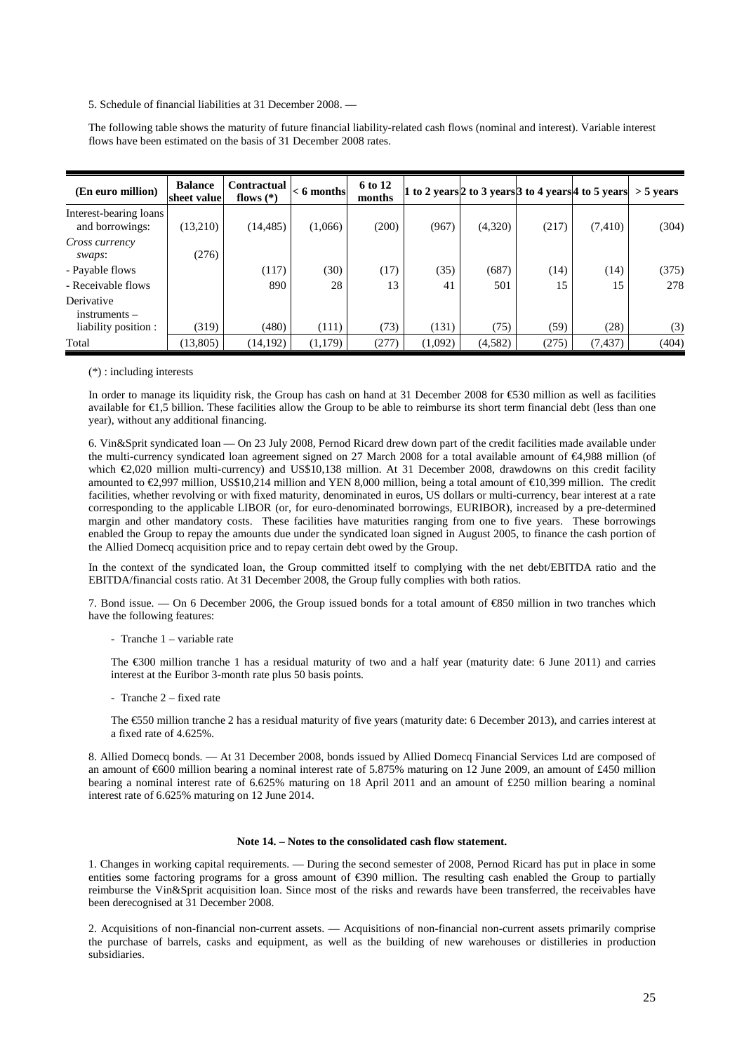5. Schedule of financial liabilities at 31 December 2008. —

The following table shows the maturity of future financial liability-related cash flows (nominal and interest). Variable interest flows have been estimated on the basis of 31 December 2008 rates.

| (En euro million)                         | <b>Balance</b><br>sheet value | <b>Contractual</b><br>flows $(*)$ | $< 6$ months | 6 to 12<br>months |         |         |       | 1 to 2 years 2 to 3 years 3 to 4 years 4 to 5 years $>$ 5 years |       |
|-------------------------------------------|-------------------------------|-----------------------------------|--------------|-------------------|---------|---------|-------|-----------------------------------------------------------------|-------|
| Interest-bearing loans<br>and borrowings: | (13,210)                      | (14, 485)                         | (1,066)      | (200)             | (967)   | (4,320) | (217) | (7, 410)                                                        | (304) |
| Cross currency<br>swaps:                  | (276)                         |                                   |              |                   |         |         |       |                                                                 |       |
| - Payable flows                           |                               | (117)                             | (30)         | (17)              | (35)    | (687)   | (14)  | (14)                                                            | (375) |
| - Receivable flows                        |                               | 890                               | 28           | 13                | 41      | 501     | 15    | 15                                                              | 278   |
| Derivative<br>instruments –               |                               |                                   |              |                   |         |         |       |                                                                 |       |
| liability position :                      | (319)                         | (480)                             | (111)        | (73)              | (131)   | (75)    | (59)  | (28)                                                            | (3)   |
| Total                                     | (13,805)                      | (14, 192)                         | (1,179)      | (277)             | (1,092) | (4,582) | (275) | (7, 437)                                                        | (404) |

#### (\*) : including interests

In order to manage its liquidity risk, the Group has cash on hand at 31 December 2008 for €530 million as well as facilities available for €1,5 billion. These facilities allow the Group to be able to reimburse its short term financial debt (less than one year), without any additional financing.

6. Vin&Sprit syndicated loan — On 23 July 2008, Pernod Ricard drew down part of the credit facilities made available under the multi-currency syndicated loan agreement signed on 27 March 2008 for a total available amount of €4,988 million (of which €2,020 million multi-currency) and US\$10,138 million. At 31 December 2008, drawdowns on this credit facility amounted to €2,997 million, US\$10,214 million and YEN 8,000 million, being a total amount of €10,399 million. The credit facilities, whether revolving or with fixed maturity, denominated in euros, US dollars or multi-currency, bear interest at a rate corresponding to the applicable LIBOR (or, for euro-denominated borrowings, EURIBOR), increased by a pre-determined margin and other mandatory costs. These facilities have maturities ranging from one to five years. These borrowings enabled the Group to repay the amounts due under the syndicated loan signed in August 2005, to finance the cash portion of the Allied Domecq acquisition price and to repay certain debt owed by the Group.

In the context of the syndicated loan, the Group committed itself to complying with the net debt/EBITDA ratio and the EBITDA/financial costs ratio. At 31 December 2008, the Group fully complies with both ratios.

7. Bond issue. — On 6 December 2006, the Group issued bonds for a total amount of €850 million in two tranches which have the following features:

- Tranche 1 – variable rate

The €300 million tranche 1 has a residual maturity of two and a half year (maturity date: 6 June 2011) and carries interest at the Euribor 3-month rate plus 50 basis points.

- Tranche 2 – fixed rate

The €550 million tranche 2 has a residual maturity of five years (maturity date: 6 December 2013), and carries interest at a fixed rate of 4.625%.

8. Allied Domecq bonds. — At 31 December 2008, bonds issued by Allied Domecq Financial Services Ltd are composed of an amount of €600 million bearing a nominal interest rate of 5.875% maturing on 12 June 2009, an amount of £450 million bearing a nominal interest rate of 6.625% maturing on 18 April 2011 and an amount of £250 million bearing a nominal interest rate of 6.625% maturing on 12 June 2014.

#### **Note 14. – Notes to the consolidated cash flow statement.**

1. Changes in working capital requirements. — During the second semester of 2008, Pernod Ricard has put in place in some entities some factoring programs for a gross amount of  $\epsilon$ 390 million. The resulting cash enabled the Group to partially reimburse the Vin&Sprit acquisition loan. Since most of the risks and rewards have been transferred, the receivables have been derecognised at 31 December 2008.

2. Acquisitions of non-financial non-current assets. — Acquisitions of non-financial non-current assets primarily comprise the purchase of barrels, casks and equipment, as well as the building of new warehouses or distilleries in production subsidiaries.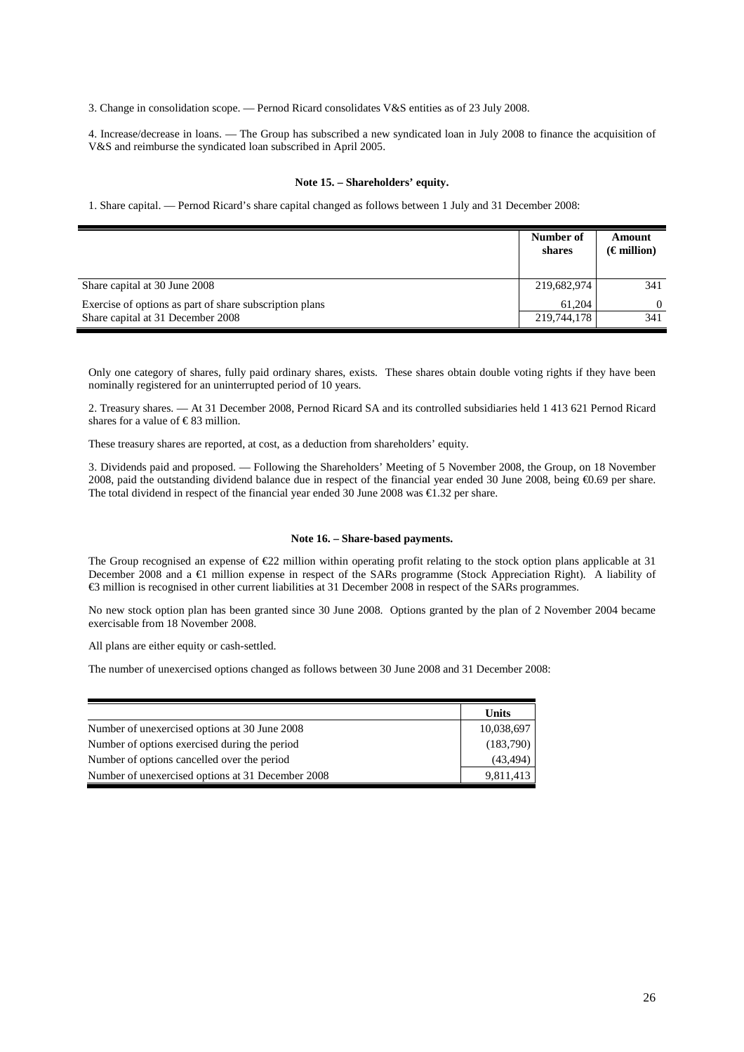3. Change in consolidation scope. — Pernod Ricard consolidates V&S entities as of 23 July 2008.

4. Increase/decrease in loans. — The Group has subscribed a new syndicated loan in July 2008 to finance the acquisition of V&S and reimburse the syndicated loan subscribed in April 2005.

## **Note 15. – Shareholders' equity.**

1. Share capital. — Pernod Ricard's share capital changed as follows between 1 July and 31 December 2008:

|                                                         | Number of<br>shares | Amount<br>$(\epsilon$ million) |
|---------------------------------------------------------|---------------------|--------------------------------|
| Share capital at 30 June 2008                           | 219,682,974         | 341                            |
| Exercise of options as part of share subscription plans | 61.204              | $\Omega$                       |
| Share capital at 31 December 2008                       | 219,744,178         | 341                            |

Only one category of shares, fully paid ordinary shares, exists. These shares obtain double voting rights if they have been nominally registered for an uninterrupted period of 10 years.

2. Treasury shares. — At 31 December 2008, Pernod Ricard SA and its controlled subsidiaries held 1 413 621 Pernod Ricard shares for a value of  $\in$  83 million.

These treasury shares are reported, at cost, as a deduction from shareholders' equity.

3. Dividends paid and proposed. — Following the Shareholders' Meeting of 5 November 2008, the Group, on 18 November 2008, paid the outstanding dividend balance due in respect of the financial year ended 30 June 2008, being €0.69 per share. The total dividend in respect of the financial year ended 30 June 2008 was €1.32 per share.

#### **Note 16. – Share-based payments.**

The Group recognised an expense of  $\epsilon$ 22 million within operating profit relating to the stock option plans applicable at 31 December 2008 and a €1 million expense in respect of the SARs programme (Stock Appreciation Right). A liability of €3 million is recognised in other current liabilities at 31 December 2008 in respect of the SARs programmes.

No new stock option plan has been granted since 30 June 2008. Options granted by the plan of 2 November 2004 became exercisable from 18 November 2008.

All plans are either equity or cash-settled.

The number of unexercised options changed as follows between 30 June 2008 and 31 December 2008:

|                                                   | Units      |
|---------------------------------------------------|------------|
| Number of unexercised options at 30 June 2008     | 10,038,697 |
| Number of options exercised during the period     | (183,790)  |
| Number of options cancelled over the period       | (43, 494)  |
| Number of unexercised options at 31 December 2008 | 9,811,413  |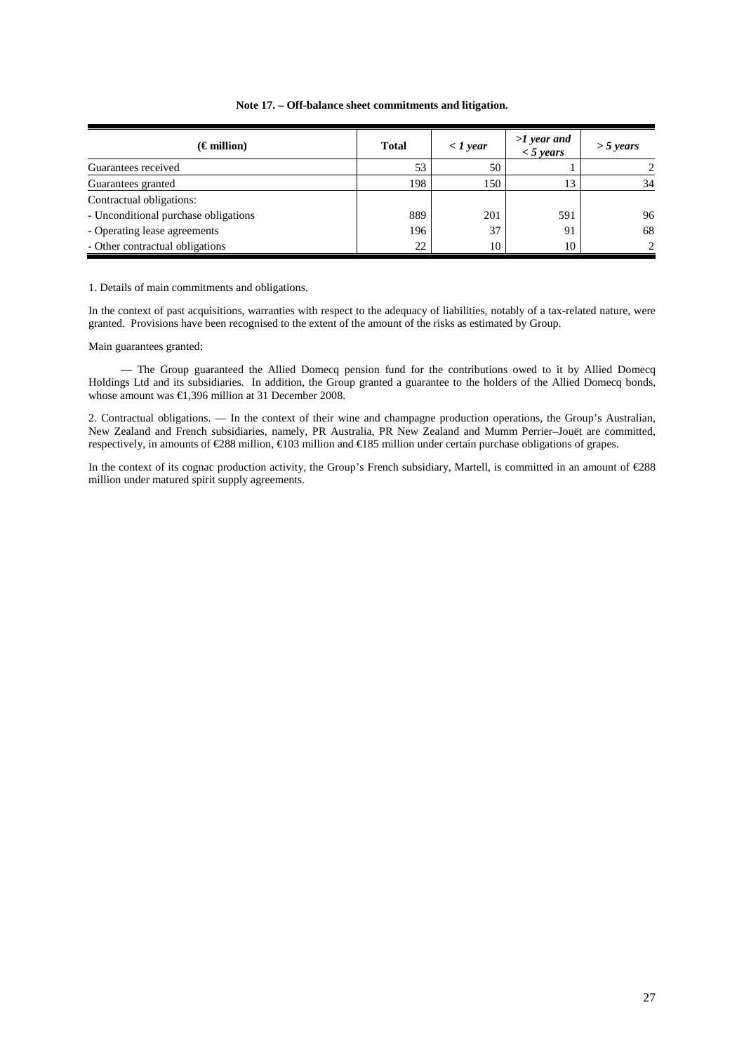| $(\epsilon$ million)                 | <b>Total</b> | $\langle$ 1 year | $>1$ year and<br>$<$ 5 years | $>$ 5 years   |
|--------------------------------------|--------------|------------------|------------------------------|---------------|
| Guarantees received                  | 53           | 50               |                              | $\mathcal{D}$ |
| Guarantees granted                   | 198          | 150              | 13                           | 34            |
| Contractual obligations:             |              |                  |                              |               |
| - Unconditional purchase obligations | 889          | 201              | 591                          | 96            |
| - Operating lease agreements         | 196          | 37               | 91                           | 68            |
| - Other contractual obligations      | 22           | 10               | 10                           | $\mathcal{D}$ |

# **Note 17. – Off-balance sheet commitments and litigation.**

1. Details of main commitments and obligations.

In the context of past acquisitions, warranties with respect to the adequacy of liabilities, notably of a tax-related nature, were granted. Provisions have been recognised to the extent of the amount of the risks as estimated by Group.

Main guarantees granted:

 — The Group guaranteed the Allied Domecq pension fund for the contributions owed to it by Allied Domecq Holdings Ltd and its subsidiaries. In addition, the Group granted a guarantee to the holders of the Allied Domecq bonds, whose amount was €1,396 million at 31 December 2008.

2. Contractual obligations. — In the context of their wine and champagne production operations, the Group's Australian, New Zealand and French subsidiaries, namely, PR Australia, PR New Zealand and Mumm Perrier–Jouët are committed, respectively, in amounts of €288 million, €103 million and €185 million under certain purchase obligations of grapes.

In the context of its cognac production activity, the Group's French subsidiary, Martell, is committed in an amount of €288 million under matured spirit supply agreements.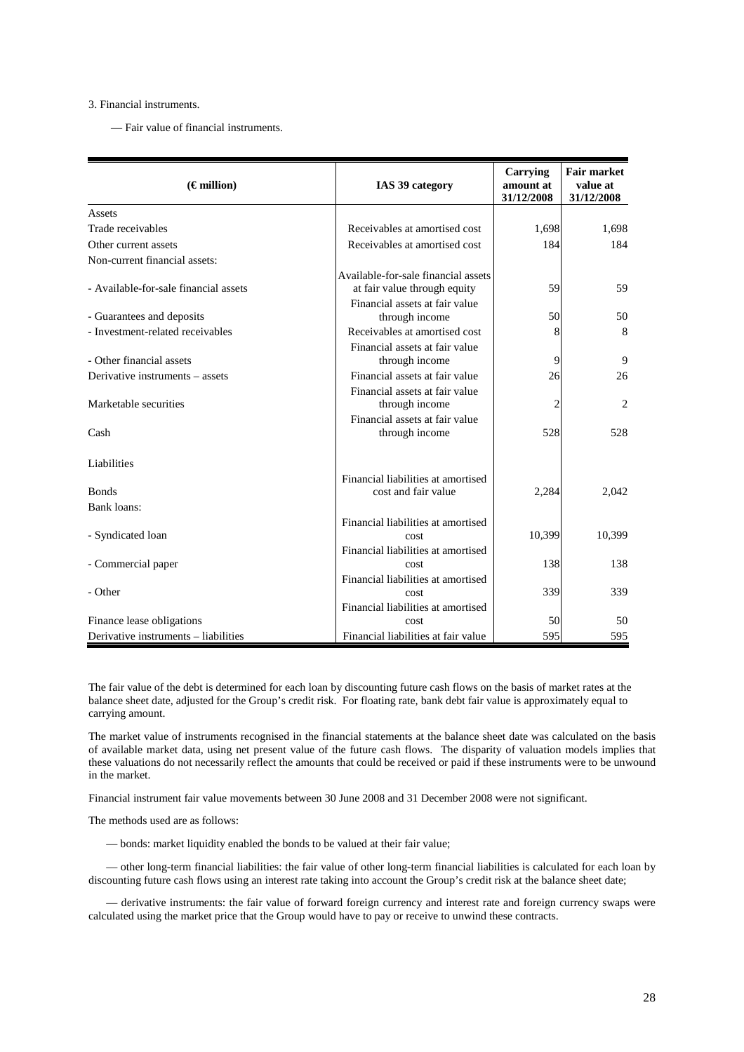## 3. Financial instruments.

— Fair value of financial instruments.

| $(\epsilon$ million)                  | IAS 39 category                                  | Carrying<br>amount at<br>31/12/2008 | <b>Fair market</b><br>value at<br>31/12/2008 |
|---------------------------------------|--------------------------------------------------|-------------------------------------|----------------------------------------------|
| Assets                                |                                                  |                                     |                                              |
| Trade receivables                     | Receivables at amortised cost                    | 1,698                               | 1,698                                        |
| Other current assets                  | Receivables at amortised cost                    | 184                                 | 184                                          |
| Non-current financial assets:         |                                                  |                                     |                                              |
|                                       | Available-for-sale financial assets              |                                     |                                              |
| - Available-for-sale financial assets | at fair value through equity                     | 59                                  | 59                                           |
| - Guarantees and deposits             | Financial assets at fair value<br>through income | 50                                  | 50                                           |
| - Investment-related receivables      | Receivables at amortised cost                    | 8                                   | 8                                            |
|                                       | Financial assets at fair value                   |                                     |                                              |
| - Other financial assets              | through income                                   | 9                                   | 9                                            |
| Derivative instruments – assets       | Financial assets at fair value                   | 26                                  | 26                                           |
|                                       | Financial assets at fair value                   |                                     |                                              |
| Marketable securities                 | through income                                   | 2                                   | $\overline{2}$                               |
|                                       | Financial assets at fair value                   |                                     |                                              |
| Cash                                  | through income                                   | 528                                 | 528                                          |
| Liabilities                           |                                                  |                                     |                                              |
|                                       | Financial liabilities at amortised               |                                     |                                              |
| <b>Bonds</b>                          | cost and fair value                              | 2,284                               | 2,042                                        |
| <b>Bank loans:</b>                    |                                                  |                                     |                                              |
|                                       | Financial liabilities at amortised               |                                     |                                              |
| - Syndicated loan                     | cost                                             | 10,399                              | 10,399                                       |
|                                       | Financial liabilities at amortised               |                                     |                                              |
| - Commercial paper                    | cost                                             | 138                                 | 138                                          |
| - Other                               | Financial liabilities at amortised<br>cost       | 339                                 | 339                                          |
|                                       | Financial liabilities at amortised               |                                     |                                              |
| Finance lease obligations             | cost                                             | 50                                  | 50                                           |
| Derivative instruments - liabilities  | Financial liabilities at fair value              | 595                                 | 595                                          |

The fair value of the debt is determined for each loan by discounting future cash flows on the basis of market rates at the balance sheet date, adjusted for the Group's credit risk. For floating rate, bank debt fair value is approximately equal to carrying amount.

The market value of instruments recognised in the financial statements at the balance sheet date was calculated on the basis of available market data, using net present value of the future cash flows. The disparity of valuation models implies that these valuations do not necessarily reflect the amounts that could be received or paid if these instruments were to be unwound in the market.

Financial instrument fair value movements between 30 June 2008 and 31 December 2008 were not significant.

The methods used are as follows:

— bonds: market liquidity enabled the bonds to be valued at their fair value;

— other long-term financial liabilities: the fair value of other long-term financial liabilities is calculated for each loan by discounting future cash flows using an interest rate taking into account the Group's credit risk at the balance sheet date;

— derivative instruments: the fair value of forward foreign currency and interest rate and foreign currency swaps were calculated using the market price that the Group would have to pay or receive to unwind these contracts.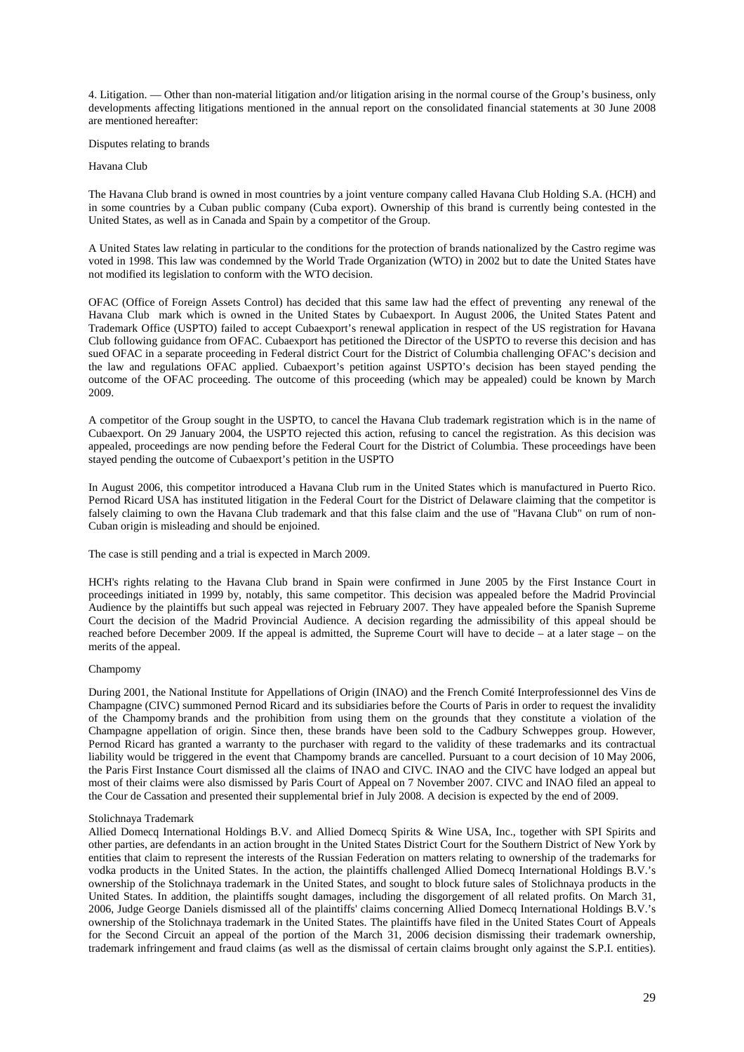4. Litigation. — Other than non-material litigation and/or litigation arising in the normal course of the Group's business, only developments affecting litigations mentioned in the annual report on the consolidated financial statements at 30 June 2008 are mentioned hereafter:

Disputes relating to brands

#### Havana Club

The Havana Club brand is owned in most countries by a joint venture company called Havana Club Holding S.A. (HCH) and in some countries by a Cuban public company (Cuba export). Ownership of this brand is currently being contested in the United States, as well as in Canada and Spain by a competitor of the Group.

A United States law relating in particular to the conditions for the protection of brands nationalized by the Castro regime was voted in 1998. This law was condemned by the World Trade Organization (WTO) in 2002 but to date the United States have not modified its legislation to conform with the WTO decision.

OFAC (Office of Foreign Assets Control) has decided that this same law had the effect of preventing any renewal of the Havana Club mark which is owned in the United States by Cubaexport. In August 2006, the United States Patent and Trademark Office (USPTO) failed to accept Cubaexport's renewal application in respect of the US registration for Havana Club following guidance from OFAC. Cubaexport has petitioned the Director of the USPTO to reverse this decision and has sued OFAC in a separate proceeding in Federal district Court for the District of Columbia challenging OFAC's decision and the law and regulations OFAC applied. Cubaexport's petition against USPTO's decision has been stayed pending the outcome of the OFAC proceeding. The outcome of this proceeding (which may be appealed) could be known by March 2009.

A competitor of the Group sought in the USPTO, to cancel the Havana Club trademark registration which is in the name of Cubaexport. On 29 January 2004, the USPTO rejected this action, refusing to cancel the registration. As this decision was appealed, proceedings are now pending before the Federal Court for the District of Columbia. These proceedings have been stayed pending the outcome of Cubaexport's petition in the USPTO

In August 2006, this competitor introduced a Havana Club rum in the United States which is manufactured in Puerto Rico. Pernod Ricard USA has instituted litigation in the Federal Court for the District of Delaware claiming that the competitor is falsely claiming to own the Havana Club trademark and that this false claim and the use of "Havana Club" on rum of non-Cuban origin is misleading and should be enjoined.

The case is still pending and a trial is expected in March 2009.

HCH's rights relating to the Havana Club brand in Spain were confirmed in June 2005 by the First Instance Court in proceedings initiated in 1999 by, notably, this same competitor. This decision was appealed before the Madrid Provincial Audience by the plaintiffs but such appeal was rejected in February 2007. They have appealed before the Spanish Supreme Court the decision of the Madrid Provincial Audience. A decision regarding the admissibility of this appeal should be reached before December 2009. If the appeal is admitted, the Supreme Court will have to decide – at a later stage – on the merits of the appeal.

#### Champomy

During 2001, the National Institute for Appellations of Origin (INAO) and the French Comité Interprofessionnel des Vins de Champagne (CIVC) summoned Pernod Ricard and its subsidiaries before the Courts of Paris in order to request the invalidity of the Champomy brands and the prohibition from using them on the grounds that they constitute a violation of the Champagne appellation of origin. Since then, these brands have been sold to the Cadbury Schweppes group. However, Pernod Ricard has granted a warranty to the purchaser with regard to the validity of these trademarks and its contractual liability would be triggered in the event that Champomy brands are cancelled. Pursuant to a court decision of 10 May 2006, the Paris First Instance Court dismissed all the claims of INAO and CIVC. INAO and the CIVC have lodged an appeal but most of their claims were also dismissed by Paris Court of Appeal on 7 November 2007. CIVC and INAO filed an appeal to the Cour de Cassation and presented their supplemental brief in July 2008. A decision is expected by the end of 2009.

#### Stolichnaya Trademark

Allied Domecq International Holdings B.V. and Allied Domecq Spirits & Wine USA, Inc., together with SPI Spirits and other parties, are defendants in an action brought in the United States District Court for the Southern District of New York by entities that claim to represent the interests of the Russian Federation on matters relating to ownership of the trademarks for vodka products in the United States. In the action, the plaintiffs challenged Allied Domecq International Holdings B.V.'s ownership of the Stolichnaya trademark in the United States, and sought to block future sales of Stolichnaya products in the United States. In addition, the plaintiffs sought damages, including the disgorgement of all related profits. On March 31, 2006, Judge George Daniels dismissed all of the plaintiffs' claims concerning Allied Domecq International Holdings B.V.'s ownership of the Stolichnaya trademark in the United States. The plaintiffs have filed in the United States Court of Appeals for the Second Circuit an appeal of the portion of the March 31, 2006 decision dismissing their trademark ownership, trademark infringement and fraud claims (as well as the dismissal of certain claims brought only against the S.P.I. entities).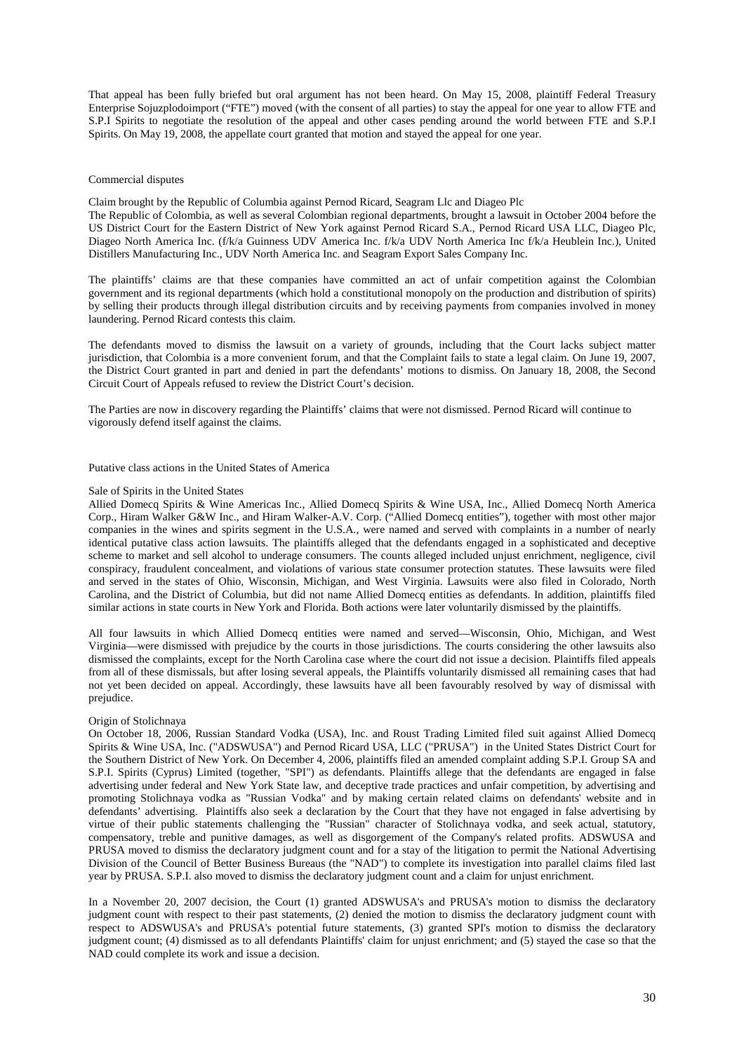That appeal has been fully briefed but oral argument has not been heard. On May 15, 2008, plaintiff Federal Treasury Enterprise Sojuzplodoimport ("FTE") moved (with the consent of all parties) to stay the appeal for one year to allow FTE and S.P.I Spirits to negotiate the resolution of the appeal and other cases pending around the world between FTE and S.P.I Spirits. On May 19, 2008, the appellate court granted that motion and stayed the appeal for one year.

#### Commercial disputes

Claim brought by the Republic of Columbia against Pernod Ricard, Seagram Llc and Diageo Plc

The Republic of Colombia, as well as several Colombian regional departments, brought a lawsuit in October 2004 before the US District Court for the Eastern District of New York against Pernod Ricard S.A., Pernod Ricard USA LLC, Diageo Plc, Diageo North America Inc. (f/k/a Guinness UDV America Inc. f/k/a UDV North America Inc f/k/a Heublein Inc.), United Distillers Manufacturing Inc., UDV North America Inc. and Seagram Export Sales Company Inc.

The plaintiffs' claims are that these companies have committed an act of unfair competition against the Colombian government and its regional departments (which hold a constitutional monopoly on the production and distribution of spirits) by selling their products through illegal distribution circuits and by receiving payments from companies involved in money laundering. Pernod Ricard contests this claim.

The defendants moved to dismiss the lawsuit on a variety of grounds, including that the Court lacks subject matter jurisdiction, that Colombia is a more convenient forum, and that the Complaint fails to state a legal claim. On June 19, 2007, the District Court granted in part and denied in part the defendants' motions to dismiss. On January 18, 2008, the Second Circuit Court of Appeals refused to review the District Court's decision.

The Parties are now in discovery regarding the Plaintiffs' claims that were not dismissed. Pernod Ricard will continue to vigorously defend itself against the claims.

Putative class actions in the United States of America

### Sale of Spirits in the United States

Allied Domecq Spirits & Wine Americas Inc., Allied Domecq Spirits & Wine USA, Inc., Allied Domecq North America Corp., Hiram Walker G&W Inc., and Hiram Walker-A.V. Corp. ("Allied Domecq entities"), together with most other major companies in the wines and spirits segment in the U.S.A., were named and served with complaints in a number of nearly identical putative class action lawsuits. The plaintiffs alleged that the defendants engaged in a sophisticated and deceptive scheme to market and sell alcohol to underage consumers. The counts alleged included unjust enrichment, negligence, civil conspiracy, fraudulent concealment, and violations of various state consumer protection statutes. These lawsuits were filed and served in the states of Ohio, Wisconsin, Michigan, and West Virginia. Lawsuits were also filed in Colorado, North Carolina, and the District of Columbia, but did not name Allied Domecq entities as defendants. In addition, plaintiffs filed similar actions in state courts in New York and Florida. Both actions were later voluntarily dismissed by the plaintiffs.

All four lawsuits in which Allied Domecq entities were named and served—Wisconsin, Ohio, Michigan, and West Virginia—were dismissed with prejudice by the courts in those jurisdictions. The courts considering the other lawsuits also dismissed the complaints, except for the North Carolina case where the court did not issue a decision. Plaintiffs filed appeals from all of these dismissals, but after losing several appeals, the Plaintiffs voluntarily dismissed all remaining cases that had not yet been decided on appeal. Accordingly, these lawsuits have all been favourably resolved by way of dismissal with prejudice.

#### Origin of Stolichnaya

On October 18, 2006, Russian Standard Vodka (USA), Inc. and Roust Trading Limited filed suit against Allied Domecq Spirits & Wine USA, Inc. ("ADSWUSA") and Pernod Ricard USA, LLC ("PRUSA") in the United States District Court for the Southern District of New York. On December 4, 2006, plaintiffs filed an amended complaint adding S.P.I. Group SA and S.P.I. Spirits (Cyprus) Limited (together, "SPI") as defendants. Plaintiffs allege that the defendants are engaged in false advertising under federal and New York State law, and deceptive trade practices and unfair competition, by advertising and promoting Stolichnaya vodka as "Russian Vodka" and by making certain related claims on defendants' website and in defendants' advertising. Plaintiffs also seek a declaration by the Court that they have not engaged in false advertising by virtue of their public statements challenging the "Russian" character of Stolichnaya vodka, and seek actual, statutory, compensatory, treble and punitive damages, as well as disgorgement of the Company's related profits. ADSWUSA and PRUSA moved to dismiss the declaratory judgment count and for a stay of the litigation to permit the National Advertising Division of the Council of Better Business Bureaus (the "NAD") to complete its investigation into parallel claims filed last year by PRUSA. S.P.I. also moved to dismiss the declaratory judgment count and a claim for unjust enrichment.

In a November 20, 2007 decision, the Court (1) granted ADSWUSA's and PRUSA's motion to dismiss the declaratory judgment count with respect to their past statements, (2) denied the motion to dismiss the declaratory judgment count with respect to ADSWUSA's and PRUSA's potential future statements, (3) granted SPI's motion to dismiss the declaratory judgment count; (4) dismissed as to all defendants Plaintiffs' claim for unjust enrichment; and (5) stayed the case so that the NAD could complete its work and issue a decision.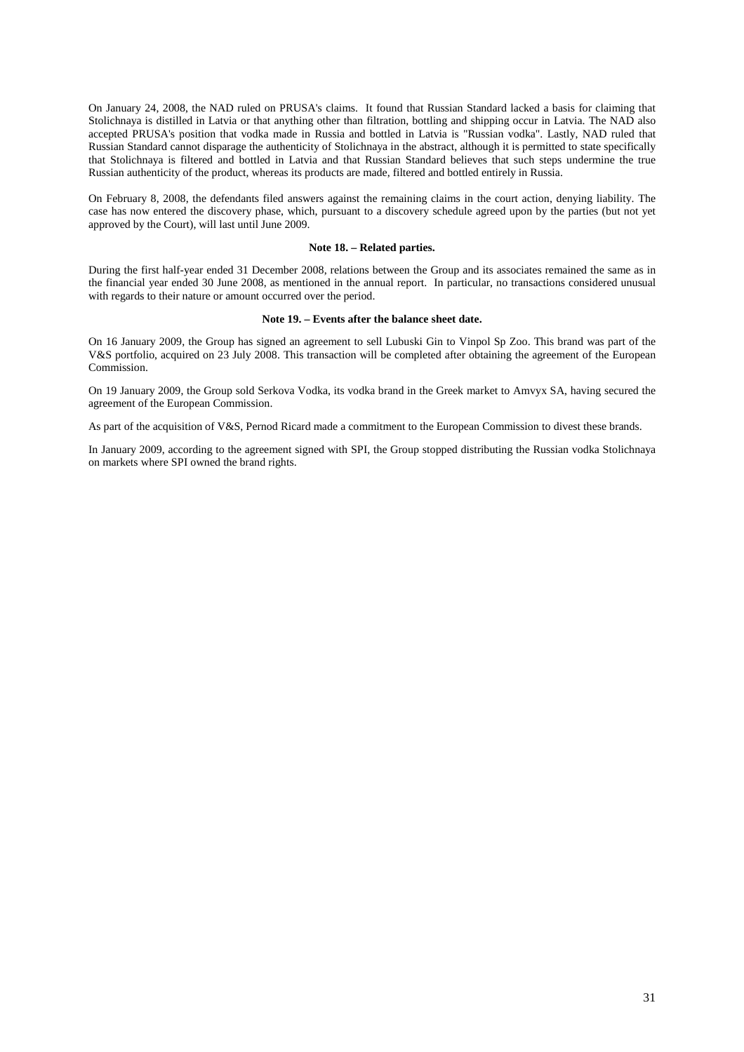On January 24, 2008, the NAD ruled on PRUSA's claims. It found that Russian Standard lacked a basis for claiming that Stolichnaya is distilled in Latvia or that anything other than filtration, bottling and shipping occur in Latvia. The NAD also accepted PRUSA's position that vodka made in Russia and bottled in Latvia is "Russian vodka". Lastly, NAD ruled that Russian Standard cannot disparage the authenticity of Stolichnaya in the abstract, although it is permitted to state specifically that Stolichnaya is filtered and bottled in Latvia and that Russian Standard believes that such steps undermine the true Russian authenticity of the product, whereas its products are made, filtered and bottled entirely in Russia.

On February 8, 2008, the defendants filed answers against the remaining claims in the court action, denying liability. The case has now entered the discovery phase, which, pursuant to a discovery schedule agreed upon by the parties (but not yet approved by the Court), will last until June 2009.

# **Note 18. – Related parties.**

During the first half-year ended 31 December 2008, relations between the Group and its associates remained the same as in the financial year ended 30 June 2008, as mentioned in the annual report. In particular, no transactions considered unusual with regards to their nature or amount occurred over the period.

#### **Note 19. – Events after the balance sheet date.**

On 16 January 2009, the Group has signed an agreement to sell Lubuski Gin to Vinpol Sp Zoo. This brand was part of the V&S portfolio, acquired on 23 July 2008. This transaction will be completed after obtaining the agreement of the European Commission.

On 19 January 2009, the Group sold Serkova Vodka, its vodka brand in the Greek market to Amvyx SA, having secured the agreement of the European Commission.

As part of the acquisition of V&S, Pernod Ricard made a commitment to the European Commission to divest these brands.

In January 2009, according to the agreement signed with SPI, the Group stopped distributing the Russian vodka Stolichnaya on markets where SPI owned the brand rights.